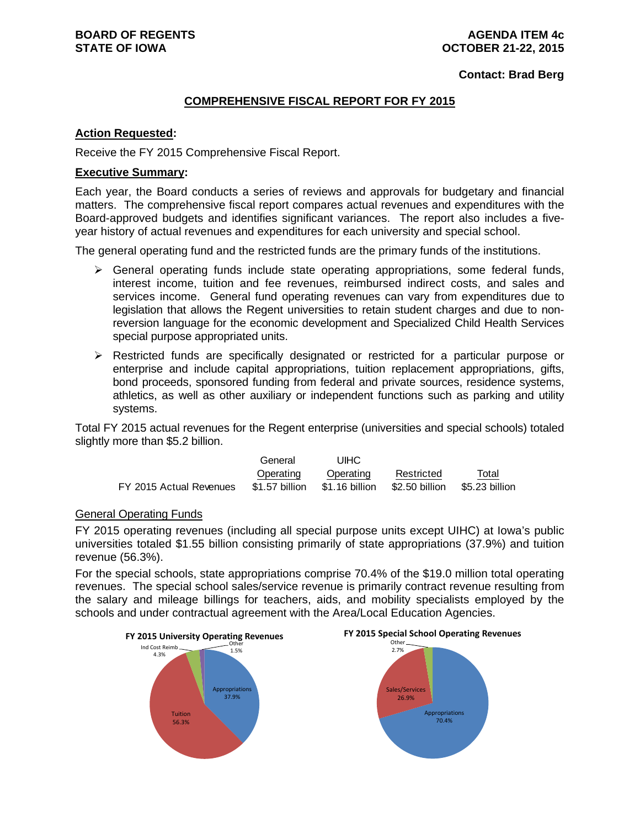# **AGENDA ITEM 4c OCTOBER 21-22, 2015**

**Contact: Brad Berg**

# **COMPREHENSIVE FISCAL REPORT FOR FY 2015**

## **Action Requested:**

Receive the FY 2015 Comprehensive Fiscal Report.

# **Executive Summary:**

Each year, the Board conducts a series of reviews and approvals for budgetary and financial matters. The comprehensive fiscal report compares actual revenues and expenditures with the Board-approved budgets and identifies significant variances. The report also includes a fiveyear history of actual revenues and expenditures for each university and special school.

The general operating fund and the restricted funds are the primary funds of the institutions.

- $\triangleright$  General operating funds include state operating appropriations, some federal funds, interest income, tuition and fee revenues, reimbursed indirect costs, and sales and services income. General fund operating revenues can vary from expenditures due to legislation that allows the Regent universities to retain student charges and due to nonreversion language for the economic development and Specialized Child Health Services special purpose appropriated units.
- $\triangleright$  Restricted funds are specifically designated or restricted for a particular purpose or enterprise and include capital appropriations, tuition replacement appropriations, gifts, bond proceeds, sponsored funding from federal and private sources, residence systems, athletics, as well as other auxiliary or independent functions such as parking and utility systems.

Total FY 2015 actual revenues for the Regent enterprise (universities and special schools) totaled slightly more than \$5.2 billion.

|                         | General        | UIHC           |                |                |
|-------------------------|----------------|----------------|----------------|----------------|
|                         | Operating      | Operating      | Restricted     | Total          |
| FY 2015 Actual Revenues | \$1.57 billion | \$1.16 billion | \$2.50 billion | \$5.23 billion |

# General Operating Funds

FY 2015 operating revenues (including all special purpose units except UIHC) at Iowa's public universities totaled \$1.55 billion consisting primarily of state appropriations (37.9%) and tuition revenue (56.3%).

For the special schools, state appropriations comprise 70.4% of the \$19.0 million total operating revenues. The special school sales/service revenue is primarily contract revenue resulting from the salary and mileage billings for teachers, aids, and mobility specialists employed by the schools and under contractual agreement with the Area/Local Education Agencies.





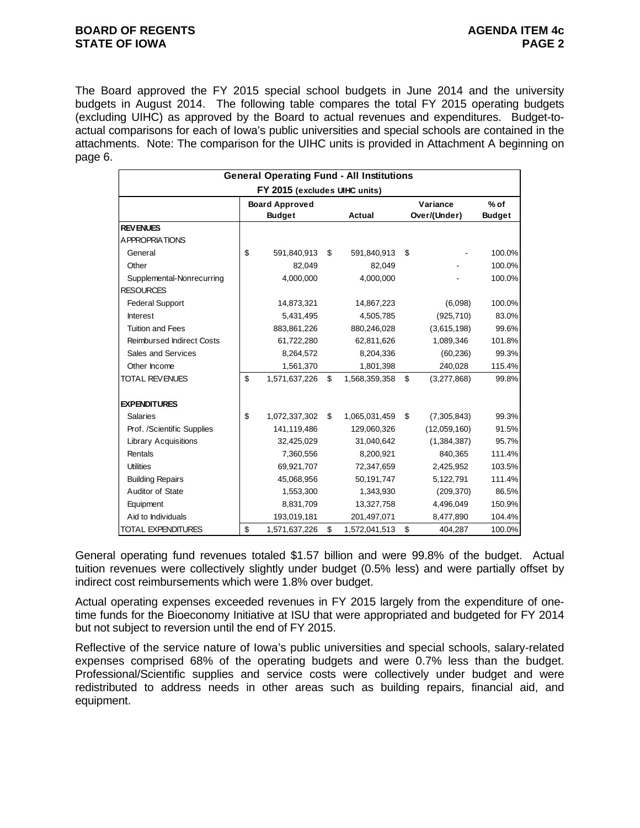# **BOARD OF REGENTS AGENUS AGENDA ITEM 4c STATE OF IOWA** PAGE 2

The Board approved the FY 2015 special school budgets in June 2014 and the university budgets in August 2014. The following table compares the total FY 2015 operating budgets (excluding UIHC) as approved by the Board to actual revenues and expenditures. Budget-toactual comparisons for each of Iowa's public universities and special schools are contained in the attachments. Note: The comparison for the UIHC units is provided in Attachment A beginning on page 6.

|                                  | <b>General Operating Fund - All Institutions</b> |                     |                   |               |
|----------------------------------|--------------------------------------------------|---------------------|-------------------|---------------|
|                                  | FY 2015 (excludes UIHC units)                    |                     |                   |               |
|                                  | <b>Board Approved</b>                            |                     | Variance          | $%$ of        |
|                                  | <b>Budget</b>                                    | Actual              | Over/(Under)      | <b>Budget</b> |
| <b>REV ENUES</b>                 |                                                  |                     |                   |               |
| <b>APPROPRIATIONS</b>            |                                                  |                     |                   |               |
| General                          | \$<br>591,840,913                                | \$<br>591,840,913   | \$                | 100.0%        |
| Other                            | 82.049                                           | 82,049              |                   | 100.0%        |
| Supplemental-Nonrecurring        | 4,000,000                                        | 4,000,000           |                   | 100.0%        |
| <b>RESOURCES</b>                 |                                                  |                     |                   |               |
| <b>Federal Support</b>           | 14,873,321                                       | 14,867,223          | (6,098)           | 100.0%        |
| Interest                         | 5,431,495                                        | 4,505,785           | (925, 710)        | 83.0%         |
| <b>Tuition and Fees</b>          | 883,861,226                                      | 880,246,028         | (3,615,198)       | 99.6%         |
| <b>Reimbursed Indirect Costs</b> | 61,722,280                                       | 62,811,626          | 1,089,346         | 101.8%        |
| Sales and Services               | 8,264,572                                        | 8,204,336           | (60, 236)         | 99.3%         |
| Other Income                     | 1,561,370                                        | 1,801,398           | 240,028           | 115.4%        |
| <b>TOTAL REVENUES</b>            | \$<br>1,571,637,226                              | \$<br>1,568,359,358 | \$<br>(3,277,868) | 99.8%         |
| <b>EXPENDITURES</b>              |                                                  |                     |                   |               |
| <b>Salaries</b>                  | \$<br>1,072,337,302                              | \$<br>1,065,031,459 | \$<br>(7,305,843) | 99.3%         |
| Prof. /Scientific Supplies       | 141,119,486                                      | 129,060,326         | (12,059,160)      | 91.5%         |
| <b>Library Acquisitions</b>      | 32,425,029                                       | 31,040,642          | (1,384,387)       | 95.7%         |
| Rentals                          | 7,360,556                                        | 8,200,921           | 840,365           | 111.4%        |
| <b>Utilities</b>                 | 69,921,707                                       | 72,347,659          | 2,425,952         | 103.5%        |
| <b>Building Repairs</b>          | 45,068,956                                       | 50,191,747          | 5,122,791         | 111.4%        |
| Auditor of State                 | 1,553,300                                        | 1,343,930           | (209, 370)        | 86.5%         |
| Equipment                        | 8,831,709                                        | 13,327,758          | 4,496,049         | 150.9%        |
| Aid to Individuals               | 193,019,181                                      | 201,497,071         | 8,477,890         | 104.4%        |
| TOTAL EXPENDITURES               | \$<br>1,571,637,226                              | \$<br>1,572,041,513 | \$<br>404.287     | 100.0%        |

General operating fund revenues totaled \$1.57 billion and were 99.8% of the budget. Actual tuition revenues were collectively slightly under budget (0.5% less) and were partially offset by indirect cost reimbursements which were 1.8% over budget.

Actual operating expenses exceeded revenues in FY 2015 largely from the expenditure of onetime funds for the Bioeconomy Initiative at ISU that were appropriated and budgeted for FY 2014 but not subject to reversion until the end of FY 2015.

Reflective of the service nature of Iowa's public universities and special schools, salary-related expenses comprised 68% of the operating budgets and were 0.7% less than the budget. Professional/Scientific supplies and service costs were collectively under budget and were redistributed to address needs in other areas such as building repairs, financial aid, and equipment.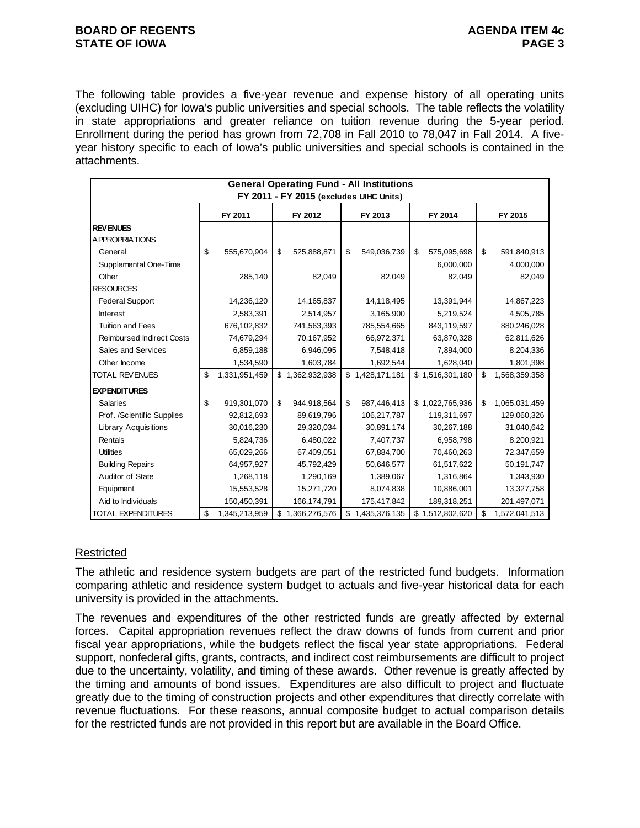# **BOARD OF REGENTS AGENUS AGENDA ITEM 4c STATE OF IOWA** PAGE 3

The following table provides a five-year revenue and expense history of all operating units (excluding UIHC) for Iowa's public universities and special schools. The table reflects the volatility in state appropriations and greater reliance on tuition revenue during the 5-year period. Enrollment during the period has grown from 72,708 in Fall 2010 to 78,047 in Fall 2014. A fiveyear history specific to each of Iowa's public universities and special schools is contained in the attachments.

| <b>General Operating Fund - All Institutions</b> |    |               |    |                                         |    |                 |    |                 |    |               |
|--------------------------------------------------|----|---------------|----|-----------------------------------------|----|-----------------|----|-----------------|----|---------------|
|                                                  |    |               |    | FY 2011 - FY 2015 (excludes UIHC Units) |    |                 |    |                 |    |               |
|                                                  |    | FY 2011       |    | FY 2012                                 |    | FY 2013         |    | FY 2014         |    | FY 2015       |
| <b>REVENUES</b>                                  |    |               |    |                                         |    |                 |    |                 |    |               |
| A PPROPRIATIONS                                  |    |               |    |                                         |    |                 |    |                 |    |               |
| General                                          | \$ | 555,670,904   | \$ | 525,888,871                             | \$ | 549,036,739     | \$ | 575,095,698     | \$ | 591,840,913   |
| Supplemental One-Time                            |    |               |    |                                         |    |                 |    | 6,000,000       |    | 4,000,000     |
| Other                                            |    | 285,140       |    | 82,049                                  |    | 82,049          |    | 82,049          |    | 82,049        |
| <b>RESOURCES</b>                                 |    |               |    |                                         |    |                 |    |                 |    |               |
| <b>Federal Support</b>                           |    | 14,236,120    |    | 14, 165, 837                            |    | 14,118,495      |    | 13,391,944      |    | 14,867,223    |
| <b>Interest</b>                                  |    | 2,583,391     |    | 2,514,957                               |    | 3,165,900       |    | 5,219,524       |    | 4,505,785     |
| <b>Tuition and Fees</b>                          |    | 676,102,832   |    | 741,563,393                             |    | 785,554,665     |    | 843,119,597     |    | 880,246,028   |
| <b>Reimbursed Indirect Costs</b>                 |    | 74,679,294    |    | 70,167,952                              |    | 66,972,371      |    | 63,870,328      |    | 62,811,626    |
| Sales and Services                               |    | 6,859,188     |    | 6,946,095                               |    | 7,548,418       |    | 7,894,000       |    | 8,204,336     |
| Other Income                                     |    | 1,534,590     |    | 1,603,784                               |    | 1,692,544       |    | 1,628,040       |    | 1,801,398     |
| <b>TOTAL REVENUES</b>                            | \$ | 1,331,951,459 |    | \$1,362,932,938                         |    | \$1,428,171,181 |    | \$1,516,301,180 | \$ | 1,568,359,358 |
| <b>EXPENDITURES</b>                              |    |               |    |                                         |    |                 |    |                 |    |               |
| <b>Salaries</b>                                  | \$ | 919,301,070   | \$ | 944,918,564                             | \$ | 987,446,413     |    | \$1,022,765,936 | \$ | 1,065,031,459 |
| Prof. /Scientific Supplies                       |    | 92,812,693    |    | 89,619,796                              |    | 106,217,787     |    | 119,311,697     |    | 129,060,326   |
| <b>Library Acquisitions</b>                      |    | 30,016,230    |    | 29,320,034                              |    | 30,891,174      |    | 30,267,188      |    | 31,040,642    |
| Rentals                                          |    | 5,824,736     |    | 6,480,022                               |    | 7,407,737       |    | 6,958,798       |    | 8,200,921     |
| <b>Utilities</b>                                 |    | 65,029,266    |    | 67,409,051                              |    | 67,884,700      |    | 70,460,263      |    | 72,347,659    |
| <b>Building Repairs</b>                          |    | 64,957,927    |    | 45,792,429                              |    | 50,646,577      |    | 61,517,622      |    | 50,191,747    |
| Auditor of State                                 |    | 1,268,118     |    | 1,290,169                               |    | 1,389,067       |    | 1,316,864       |    | 1,343,930     |
| Equipment                                        |    | 15,553,528    |    | 15,271,720                              |    | 8,074,838       |    | 10,886,001      |    | 13,327,758    |
| Aid to Individuals                               |    | 150,450,391   |    | 166,174,791                             |    | 175,417,842     |    | 189,318,251     |    | 201,497,071   |
| <b>TOTAL EXPENDITURES</b>                        | \$ | 1,345,213,959 |    | \$1,366,276,576                         |    | \$1,435,376,135 |    | \$1,512,802,620 | \$ | 1,572,041,513 |

# Restricted

The athletic and residence system budgets are part of the restricted fund budgets. Information comparing athletic and residence system budget to actuals and five-year historical data for each university is provided in the attachments.

The revenues and expenditures of the other restricted funds are greatly affected by external forces. Capital appropriation revenues reflect the draw downs of funds from current and prior fiscal year appropriations, while the budgets reflect the fiscal year state appropriations. Federal support, nonfederal gifts, grants, contracts, and indirect cost reimbursements are difficult to project due to the uncertainty, volatility, and timing of these awards. Other revenue is greatly affected by the timing and amounts of bond issues. Expenditures are also difficult to project and fluctuate greatly due to the timing of construction projects and other expenditures that directly correlate with revenue fluctuations. For these reasons, annual composite budget to actual comparison details for the restricted funds are not provided in this report but are available in the Board Office.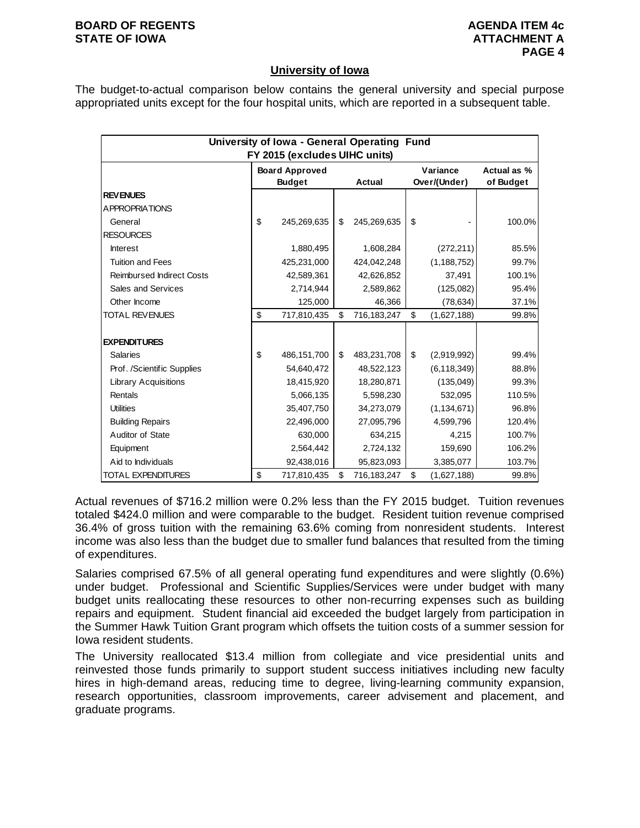## **BOARD OF REGENTS AGENUS AGENDA ITEM 4c STATE OF IOWA ATTACHMENT A**

# **University of Iowa**

The budget-to-actual comparison below contains the general university and special purpose appropriated units except for the four hospital units, which are reported in a subsequent table.

|                                  | University of Iowa - General Operating Fund |                       |    |               |    |               |             |  |  |  |  |
|----------------------------------|---------------------------------------------|-----------------------|----|---------------|----|---------------|-------------|--|--|--|--|
| FY 2015 (excludes UIHC units)    |                                             |                       |    |               |    |               |             |  |  |  |  |
|                                  |                                             | <b>Board Approved</b> |    |               |    | Variance      | Actual as % |  |  |  |  |
|                                  |                                             | <b>Budget</b>         |    | <b>Actual</b> |    | Over/(Under)  | of Budget   |  |  |  |  |
| <b>REVENUES</b>                  |                                             |                       |    |               |    |               |             |  |  |  |  |
| A PPROPRIATIONS                  |                                             |                       |    |               |    |               |             |  |  |  |  |
| General                          | \$                                          | 245,269,635           | \$ | 245,269,635   | \$ |               | 100.0%      |  |  |  |  |
| <b>RESOURCES</b>                 |                                             |                       |    |               |    |               |             |  |  |  |  |
| <b>Interest</b>                  |                                             | 1,880,495             |    | 1,608,284     |    | (272, 211)    | 85.5%       |  |  |  |  |
| <b>Tuition and Fees</b>          |                                             | 425,231,000           |    | 424,042,248   |    | (1, 188, 752) | 99.7%       |  |  |  |  |
| <b>Reimbursed Indirect Costs</b> |                                             | 42,589,361            |    | 42,626,852    |    | 37,491        | 100.1%      |  |  |  |  |
| Sales and Services               |                                             | 2,714,944             |    | 2,589,862     |    | (125,082)     | 95.4%       |  |  |  |  |
| Other Income                     |                                             | 125,000               |    | 46,366        |    | (78, 634)     | 37.1%       |  |  |  |  |
| <b>TOTAL REVENUES</b>            | \$                                          | 717,810,435           | \$ | 716,183,247   | \$ | (1,627,188)   | 99.8%       |  |  |  |  |
|                                  |                                             |                       |    |               |    |               |             |  |  |  |  |
| <b>EXPENDITURES</b>              |                                             |                       |    |               |    |               |             |  |  |  |  |
| <b>Salaries</b>                  | \$                                          | 486,151,700           | \$ | 483,231,708   | \$ | (2,919,992)   | 99.4%       |  |  |  |  |
| Prof. /Scientific Supplies       |                                             | 54,640,472            |    | 48,522,123    |    | (6, 118, 349) | 88.8%       |  |  |  |  |
| <b>Library Acquisitions</b>      |                                             | 18,415,920            |    | 18,280,871    |    | (135, 049)    | 99.3%       |  |  |  |  |
| Rentals                          |                                             | 5,066,135             |    | 5,598,230     |    | 532,095       | 110.5%      |  |  |  |  |
| <b>Utilities</b>                 |                                             | 35,407,750            |    | 34,273,079    |    | (1, 134, 671) | 96.8%       |  |  |  |  |
| <b>Building Repairs</b>          |                                             | 22,496,000            |    | 27,095,796    |    | 4,599,796     | 120.4%      |  |  |  |  |
| Auditor of State                 |                                             | 630,000               |    | 634,215       |    | 4,215         | 100.7%      |  |  |  |  |
| Equipment                        |                                             | 2,564,442             |    | 2,724,132     |    | 159,690       | 106.2%      |  |  |  |  |
| Aid to Individuals               |                                             | 92,438,016            |    | 95,823,093    |    | 3,385,077     | 103.7%      |  |  |  |  |
| <b>TOTAL EXPENDITURES</b>        | \$                                          | 717,810,435           | \$ | 716,183,247   | \$ | (1,627,188)   | 99.8%       |  |  |  |  |

Actual revenues of \$716.2 million were 0.2% less than the FY 2015 budget. Tuition revenues totaled \$424.0 million and were comparable to the budget. Resident tuition revenue comprised 36.4% of gross tuition with the remaining 63.6% coming from nonresident students. Interest income was also less than the budget due to smaller fund balances that resulted from the timing of expenditures.

Salaries comprised 67.5% of all general operating fund expenditures and were slightly (0.6%) under budget. Professional and Scientific Supplies/Services were under budget with many budget units reallocating these resources to other non-recurring expenses such as building repairs and equipment. Student financial aid exceeded the budget largely from participation in the Summer Hawk Tuition Grant program which offsets the tuition costs of a summer session for Iowa resident students.

The University reallocated \$13.4 million from collegiate and vice presidential units and reinvested those funds primarily to support student success initiatives including new faculty hires in high-demand areas, reducing time to degree, living-learning community expansion, research opportunities, classroom improvements, career advisement and placement, and graduate programs.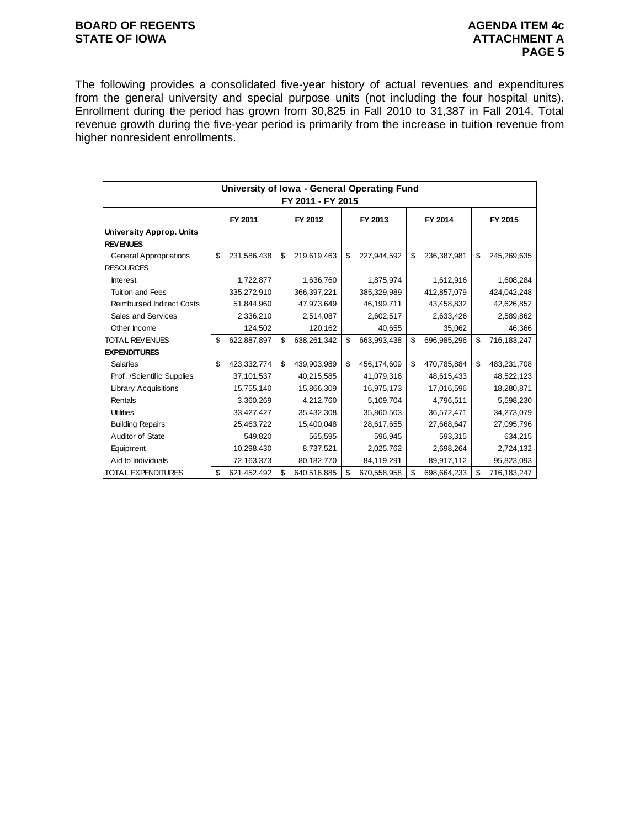# **BOARD OF REGENTS BOARD OF REGENTS** STATE OF IOWA **ATTACHMENT A**

The following provides a consolidated five-year history of actual revenues and expenditures from the general university and special purpose units (not including the four hospital units). Enrollment during the period has grown from 30,825 in Fall 2010 to 31,387 in Fall 2014. Total revenue growth during the five-year period is primarily from the increase in tuition revenue from higher nonresident enrollments.

|                                  |                                          | University of Iowa - General Operating Fund |    |             |    |             |    |             |    |             |
|----------------------------------|------------------------------------------|---------------------------------------------|----|-------------|----|-------------|----|-------------|----|-------------|
| FY 2011 - FY 2015                |                                          |                                             |    |             |    |             |    |             |    |             |
|                                  | FY 2011<br>FY 2013<br>FY 2014<br>FY 2012 |                                             |    |             |    |             |    |             |    | FY 2015     |
| <b>University Approp. Units</b>  |                                          |                                             |    |             |    |             |    |             |    |             |
| <b>REVENUES</b>                  |                                          |                                             |    |             |    |             |    |             |    |             |
| <b>General Appropriations</b>    | \$                                       | 231,586,438                                 | \$ | 219,619,463 | \$ | 227,944,592 | \$ | 236,387,981 | \$ | 245,269,635 |
| <b>RESOURCES</b>                 |                                          |                                             |    |             |    |             |    |             |    |             |
| <b>Interest</b>                  |                                          | 1,722,877                                   |    | 1,636,760   |    | 1,875,974   |    | 1,612,916   |    | 1,608,284   |
| <b>Tuition and Fees</b>          |                                          | 335,272,910                                 |    | 366,397,221 |    | 385,329,989 |    | 412,857,079 |    | 424,042,248 |
| <b>Reimbursed Indirect Costs</b> |                                          | 51,844,960                                  |    | 47,973,649  |    | 46,199,711  |    | 43,458,832  |    | 42,626,852  |
| Sales and Services               |                                          | 2,336,210                                   |    | 2,514,087   |    | 2,602,517   |    | 2,633,426   |    | 2,589,862   |
| Other Income                     |                                          | 124,502                                     |    | 120,162     |    | 40,655      |    | 35,062      |    | 46,366      |
| <b>TOTAL REVENUES</b>            | \$                                       | 622,887,897                                 | \$ | 638,261,342 | \$ | 663,993,438 | \$ | 696,985,296 | \$ | 716,183,247 |
| <b>EXPENDITURES</b>              |                                          |                                             |    |             |    |             |    |             |    |             |
| <b>Salaries</b>                  | \$                                       | 423,332,774                                 | \$ | 439,903,989 | \$ | 456,174,609 | \$ | 470,785,884 | \$ | 483,231,708 |
| Prof. /Scientific Supplies       |                                          | 37,101,537                                  |    | 40,215,585  |    | 41,079,316  |    | 48,615,433  |    | 48,522,123  |
| <b>Library Acquisitions</b>      |                                          | 15,755,140                                  |    | 15,866,309  |    | 16,975,173  |    | 17,016,596  |    | 18,280,871  |
| Rentals                          |                                          | 3,360,269                                   |    | 4,212,760   |    | 5,109,704   |    | 4,796,511   |    | 5,598,230   |
| <b>Utilities</b>                 |                                          | 33,427,427                                  |    | 35,432,308  |    | 35,860,503  |    | 36,572,471  |    | 34,273,079  |
| <b>Building Repairs</b>          |                                          | 25,463,722                                  |    | 15,400,048  |    | 28,617,655  |    | 27,668,647  |    | 27,095,796  |
| Auditor of State                 |                                          | 549,820                                     |    | 565,595     |    | 596,945     |    | 593,315     |    | 634,215     |
| Equipment                        |                                          | 10,298,430                                  |    | 8,737,521   |    | 2,025,762   |    | 2,698,264   |    | 2,724,132   |
| Aid to Individuals               |                                          | 72,163,373                                  |    | 80,182,770  |    | 84,119,291  |    | 89,917,112  |    | 95,823,093  |
| <b>TOTAL EXPENDITURES</b>        | \$                                       | 621,452,492                                 | \$ | 640,516,885 | \$ | 670,558,958 | \$ | 698,664,233 | \$ | 716,183,247 |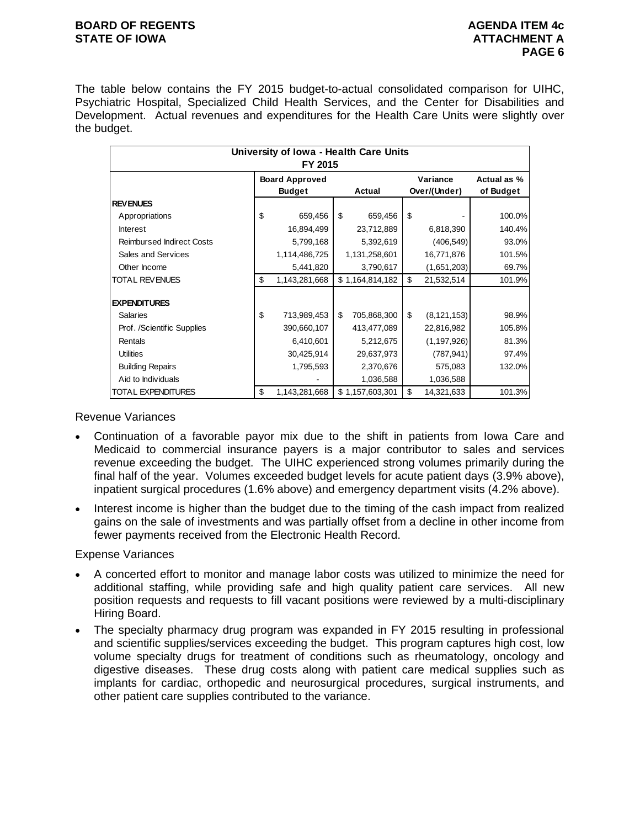# **BOARD OF REGENTS AGENUS AGENDA ITEM 4c STATE OF IOWA ATTACHMENT A**

The table below contains the FY 2015 budget-to-actual consolidated comparison for UIHC, Psychiatric Hospital, Specialized Child Health Services, and the Center for Disabilities and Development. Actual revenues and expenditures for the Health Care Units were slightly over the budget.

|                                  |                                        |                   | University of Iowa - Health Care Units<br>FY 2015 |                          |                          |  |  |  |  |  |  |  |  |
|----------------------------------|----------------------------------------|-------------------|---------------------------------------------------|--------------------------|--------------------------|--|--|--|--|--|--|--|--|
|                                  | <b>Board Approved</b><br><b>Budget</b> | Actual            |                                                   | Variance<br>Over/(Under) | Actual as %<br>of Budget |  |  |  |  |  |  |  |  |
| <b>REVENUES</b>                  |                                        |                   |                                                   |                          |                          |  |  |  |  |  |  |  |  |
| Appropriations                   | \$<br>659,456                          | \$<br>659,456     | \$                                                |                          | 100.0%                   |  |  |  |  |  |  |  |  |
| <b>Interest</b>                  | 16,894,499                             | 23,712,889        |                                                   | 6,818,390                | 140.4%                   |  |  |  |  |  |  |  |  |
| <b>Reimbursed Indirect Costs</b> | 5,799,168                              | 5,392,619         |                                                   | (406, 549)               | 93.0%                    |  |  |  |  |  |  |  |  |
| Sales and Services               | 1,114,486,725                          | 1,131,258,601     |                                                   | 16,771,876               | 101.5%                   |  |  |  |  |  |  |  |  |
| Other Income                     | 5,441,820                              | 3,790,617         |                                                   | (1,651,203)              | 69.7%                    |  |  |  |  |  |  |  |  |
| TOTAL REVENUES                   | \$<br>1,143,281,668                    | \$1,164,814,182   | \$                                                | 21,532,514               | 101.9%                   |  |  |  |  |  |  |  |  |
| <b>EXPENDITURES</b>              |                                        |                   |                                                   |                          |                          |  |  |  |  |  |  |  |  |
| <b>Salaries</b>                  | \$<br>713,989,453                      | 705,868,300<br>\$ | \$                                                | (8, 121, 153)            | 98.9%                    |  |  |  |  |  |  |  |  |
| Prof. /Scientific Supplies       | 390,660,107                            | 413,477,089       |                                                   | 22,816,982               | 105.8%                   |  |  |  |  |  |  |  |  |
| Rentals                          | 6,410,601                              | 5,212,675         |                                                   | (1, 197, 926)            | 81.3%                    |  |  |  |  |  |  |  |  |
| <b>Utilities</b>                 | 30,425,914                             | 29,637,973        |                                                   | (787, 941)               | 97.4%                    |  |  |  |  |  |  |  |  |
| <b>Building Repairs</b>          | 1,795,593                              | 2,370,676         |                                                   | 575,083                  | 132.0%                   |  |  |  |  |  |  |  |  |
| Aid to Individuals               |                                        | 1,036,588         |                                                   | 1,036,588                |                          |  |  |  |  |  |  |  |  |
| TOTAL EXPENDITURES               | \$<br>1,143,281,668                    | \$1,157,603,301   | \$                                                | 14,321,633               | 101.3%                   |  |  |  |  |  |  |  |  |

Revenue Variances

- Continuation of a favorable payor mix due to the shift in patients from Iowa Care and Medicaid to commercial insurance payers is a major contributor to sales and services revenue exceeding the budget. The UIHC experienced strong volumes primarily during the final half of the year. Volumes exceeded budget levels for acute patient days (3.9% above), inpatient surgical procedures (1.6% above) and emergency department visits (4.2% above).
- Interest income is higher than the budget due to the timing of the cash impact from realized gains on the sale of investments and was partially offset from a decline in other income from fewer payments received from the Electronic Health Record.

Expense Variances

- A concerted effort to monitor and manage labor costs was utilized to minimize the need for additional staffing, while providing safe and high quality patient care services. All new position requests and requests to fill vacant positions were reviewed by a multi-disciplinary Hiring Board.
- The specialty pharmacy drug program was expanded in FY 2015 resulting in professional and scientific supplies/services exceeding the budget. This program captures high cost, low volume specialty drugs for treatment of conditions such as rheumatology, oncology and digestive diseases. These drug costs along with patient care medical supplies such as implants for cardiac, orthopedic and neurosurgical procedures, surgical instruments, and other patient care supplies contributed to the variance.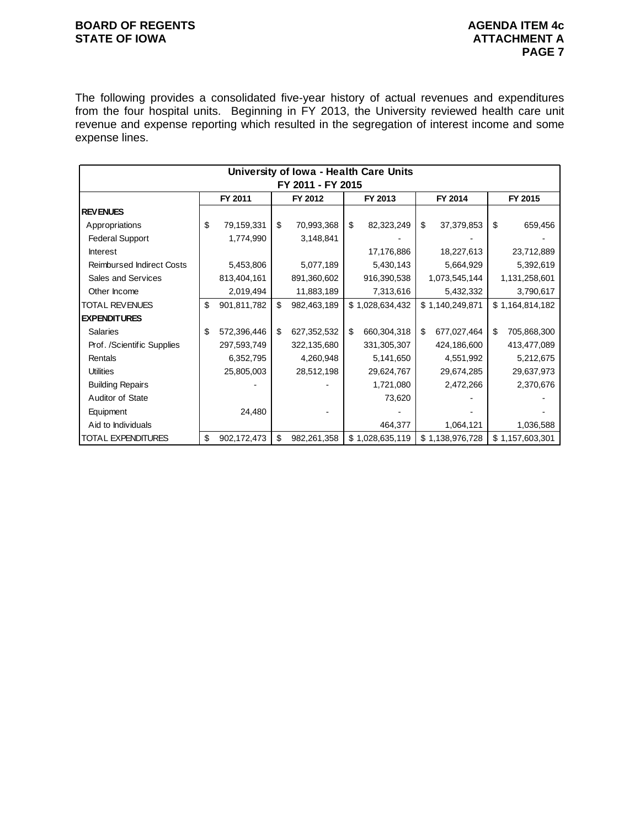# **BOARD OF REGENTS BOARD OF REGENTS** STATE OF IOWA **ATTACHMENT A**

The following provides a consolidated five-year history of actual revenues and expenditures from the four hospital units. Beginning in FY 2013, the University reviewed health care unit revenue and expense reporting which resulted in the segregation of interest income and some expense lines.

|                                  |    |             |    | University of Iowa - Health Care Units |                |                 |    |                 |    |                 |  |
|----------------------------------|----|-------------|----|----------------------------------------|----------------|-----------------|----|-----------------|----|-----------------|--|
| FY 2011 - FY 2015                |    |             |    |                                        |                |                 |    |                 |    |                 |  |
|                                  |    | FY 2011     |    | FY 2012                                |                | FY 2013         |    | FY 2014         |    | FY 2015         |  |
| <b>REVENUES</b>                  |    |             |    |                                        |                |                 |    |                 |    |                 |  |
| Appropriations                   | \$ | 79,159,331  | \$ | 70,993,368                             | $\mathfrak{s}$ | 82,323,249      | \$ | 37,379,853      | \$ | 659,456         |  |
| <b>Federal Support</b>           |    | 1,774,990   |    | 3,148,841                              |                |                 |    |                 |    |                 |  |
| Interest                         |    |             |    |                                        |                | 17,176,886      |    | 18,227,613      |    | 23,712,889      |  |
| <b>Reimbursed Indirect Costs</b> |    | 5,453,806   |    | 5,077,189                              |                | 5,430,143       |    | 5,664,929       |    | 5,392,619       |  |
| Sales and Services               |    | 813,404,161 |    | 891,360,602                            |                | 916,390,538     |    | 1,073,545,144   |    | 1,131,258,601   |  |
| Other Income                     |    | 2,019,494   |    | 11,883,189                             |                | 7,313,616       |    | 5,432,332       |    | 3,790,617       |  |
| TOTAL REVENUES                   | \$ | 901,811,782 | \$ | 982,463,189                            |                | \$1,028,634,432 |    | \$1,140,249,871 |    | \$1,164,814,182 |  |
| <b>EXPENDITURES</b>              |    |             |    |                                        |                |                 |    |                 |    |                 |  |
| <b>Salaries</b>                  | \$ | 572,396,446 | \$ | 627,352,532                            | \$             | 660,304,318     | \$ | 677,027,464     | \$ | 705,868,300     |  |
| Prof. /Scientific Supplies       |    | 297,593,749 |    | 322,135,680                            |                | 331,305,307     |    | 424,186,600     |    | 413,477,089     |  |
| Rentals                          |    | 6,352,795   |    | 4,260,948                              |                | 5,141,650       |    | 4,551,992       |    | 5,212,675       |  |
| <b>Utilities</b>                 |    | 25,805,003  |    | 28,512,198                             |                | 29,624,767      |    | 29,674,285      |    | 29,637,973      |  |
| <b>Building Repairs</b>          |    |             |    |                                        |                | 1,721,080       |    | 2,472,266       |    | 2,370,676       |  |
| Auditor of State                 |    |             |    |                                        |                | 73,620          |    |                 |    |                 |  |
| Equipment                        |    | 24,480      |    |                                        |                |                 |    |                 |    |                 |  |
| Aid to Individuals               |    |             |    |                                        |                | 464,377         |    | 1,064,121       |    | 1,036,588       |  |
| TOTAL EXPENDITURES               | \$ | 902,172,473 | \$ | 982,261,358                            |                | \$1,028,635,119 |    | \$1,138,976,728 |    | \$1,157,603,301 |  |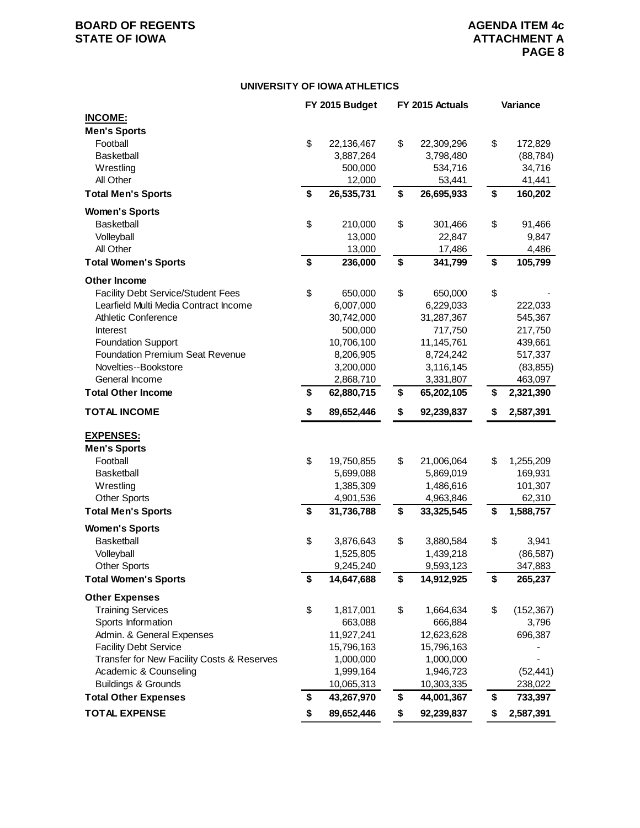# **BOARD OF REGENTS AGENDA ITEM 4c**<br> **BOARD OF IOWA**<br> **BOARD OF IOWA**

#### **UNIVERSITY OF IOWA ATHLETICS**

|                                            | FY 2015 Budget   | FY 2015 Actuals |            | Variance |            |
|--------------------------------------------|------------------|-----------------|------------|----------|------------|
| <b>INCOME:</b>                             |                  |                 |            |          |            |
| <b>Men's Sports</b>                        |                  |                 |            |          |            |
| Football                                   | \$<br>22,136,467 | \$              | 22,309,296 | \$       | 172,829    |
| <b>Basketball</b>                          | 3,887,264        |                 | 3,798,480  |          | (88, 784)  |
| Wrestling                                  | 500,000          |                 | 534,716    |          | 34,716     |
| All Other                                  | 12,000           |                 | 53,441     |          | 41,441     |
| <b>Total Men's Sports</b>                  | \$<br>26,535,731 | \$              | 26,695,933 | \$       | 160,202    |
| <b>Women's Sports</b>                      |                  |                 |            |          |            |
| <b>Basketball</b>                          | \$<br>210,000    | \$              | 301,466    | \$       | 91,466     |
| Volleyball                                 | 13,000           |                 | 22,847     |          | 9,847      |
| All Other                                  | 13,000           |                 | 17,486     |          | 4,486      |
| <b>Total Women's Sports</b>                | \$<br>236,000    | \$              | 341,799    | \$       | 105,799    |
| <b>Other Income</b>                        |                  |                 |            |          |            |
| <b>Facility Debt Service/Student Fees</b>  | \$<br>650,000    | \$              | 650,000    | \$       |            |
| Learfield Multi Media Contract Income      | 6,007,000        |                 | 6,229,033  |          | 222,033    |
| <b>Athletic Conference</b>                 | 30,742,000       |                 | 31,287,367 |          | 545,367    |
| <b>Interest</b>                            | 500,000          |                 | 717,750    |          | 217,750    |
| <b>Foundation Support</b>                  | 10,706,100       |                 | 11,145,761 |          | 439,661    |
| <b>Foundation Premium Seat Revenue</b>     | 8,206,905        |                 | 8,724,242  |          | 517,337    |
| Novelties--Bookstore                       | 3,200,000        |                 | 3,116,145  |          | (83, 855)  |
| General Income                             | 2,868,710        |                 | 3,331,807  |          | 463,097    |
| <b>Total Other Income</b>                  | \$<br>62,880,715 | \$              | 65,202,105 | \$       | 2,321,390  |
| <b>TOTAL INCOME</b>                        | \$<br>89,652,446 | \$              | 92,239,837 | \$       | 2,587,391  |
| <b>EXPENSES:</b>                           |                  |                 |            |          |            |
| <b>Men's Sports</b>                        |                  |                 |            |          |            |
| Football                                   | \$<br>19,750,855 | \$              | 21,006,064 | \$       | 1,255,209  |
| <b>Basketball</b>                          | 5,699,088        |                 | 5,869,019  |          | 169,931    |
| Wrestling                                  | 1,385,309        |                 | 1,486,616  |          | 101,307    |
| <b>Other Sports</b>                        | 4,901,536        |                 | 4,963,846  |          | 62,310     |
| <b>Total Men's Sports</b>                  | \$<br>31,736,788 | \$              | 33,325,545 | \$       | 1,588,757  |
| <b>Women's Sports</b>                      |                  |                 |            |          |            |
| <b>Basketball</b>                          | \$<br>3,876,643  | \$              | 3,880,584  | \$       | 3,941      |
| Volleyball                                 | 1,525,805        |                 | 1,439,218  |          | (86, 587)  |
| <b>Other Sports</b>                        | 9,245,240        |                 | 9,593,123  |          | 347,883    |
| <b>Total Women's Sports</b>                | \$<br>14,647,688 | \$              | 14,912,925 | \$       | 265,237    |
| <b>Other Expenses</b>                      |                  |                 |            |          |            |
| <b>Training Services</b>                   | \$<br>1,817,001  | \$              | 1,664,634  | \$       | (152, 367) |
| Sports Information                         | 663,088          |                 | 666,884    |          | 3,796      |
| Admin. & General Expenses                  | 11,927,241       |                 | 12,623,628 |          | 696,387    |
| <b>Facility Debt Service</b>               | 15,796,163       |                 | 15,796,163 |          |            |
| Transfer for New Facility Costs & Reserves | 1,000,000        |                 | 1,000,000  |          |            |
| Academic & Counseling                      | 1,999,164        |                 | 1,946,723  |          | (52, 441)  |
| <b>Buildings &amp; Grounds</b>             | 10,065,313       |                 | 10,303,335 |          | 238,022    |
| <b>Total Other Expenses</b>                | \$<br>43,267,970 | \$              | 44,001,367 | \$       | 733,397    |
| <b>TOTAL EXPENSE</b>                       | \$<br>89,652,446 | \$              | 92,239,837 | \$       | 2,587,391  |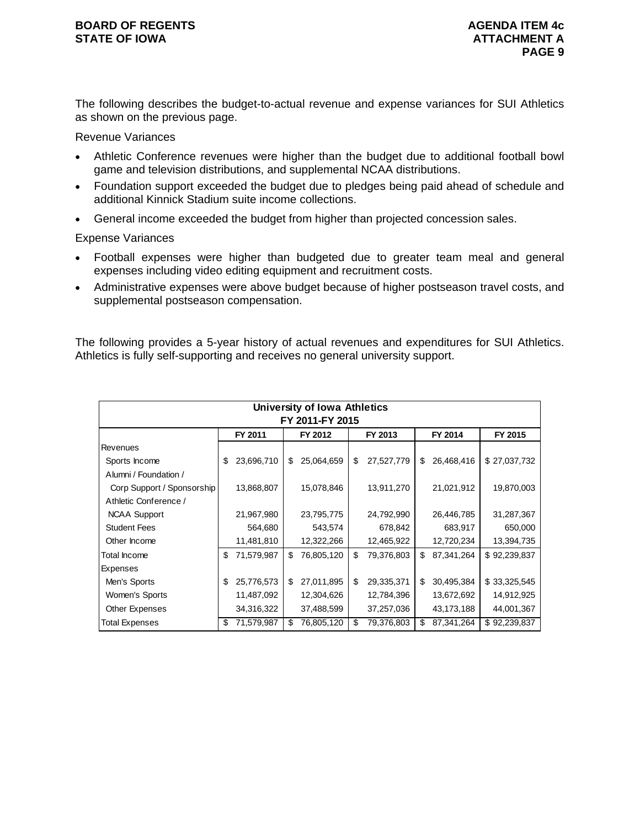The following describes the budget-to-actual revenue and expense variances for SUI Athletics as shown on the previous page.

# Revenue Variances

- Athletic Conference revenues were higher than the budget due to additional football bowl game and television distributions, and supplemental NCAA distributions.
- Foundation support exceeded the budget due to pledges being paid ahead of schedule and additional Kinnick Stadium suite income collections.
- General income exceeded the budget from higher than projected concession sales.

# Expense Variances

- Football expenses were higher than budgeted due to greater team meal and general expenses including video editing equipment and recruitment costs.
- Administrative expenses were above budget because of higher postseason travel costs, and supplemental postseason compensation.

The following provides a 5-year history of actual revenues and expenditures for SUI Athletics. Athletics is fully self-supporting and receives no general university support.

|                            |    |            |    | <b>University of Iowa Athletics</b> |    |            |    |            |              |  |  |
|----------------------------|----|------------|----|-------------------------------------|----|------------|----|------------|--------------|--|--|
| FY 2011-FY 2015            |    |            |    |                                     |    |            |    |            |              |  |  |
|                            |    | FY 2011    |    | FY 2012                             |    | FY 2013    |    | FY 2014    | FY 2015      |  |  |
| Revenues                   |    |            |    |                                     |    |            |    |            |              |  |  |
| Sports Income              | \$ | 23,696,710 | \$ | 25,064,659                          | \$ | 27,527,779 | \$ | 26,468,416 | \$27,037,732 |  |  |
| Alumni / Foundation /      |    |            |    |                                     |    |            |    |            |              |  |  |
| Corp Support / Sponsorship |    | 13,868,807 |    | 15,078,846                          |    | 13,911,270 |    | 21,021,912 | 19,870,003   |  |  |
| Athletic Conference /      |    |            |    |                                     |    |            |    |            |              |  |  |
| <b>NCAA Support</b>        |    | 21,967,980 |    | 23,795,775                          |    | 24,792,990 |    | 26,446,785 | 31,287,367   |  |  |
| <b>Student Fees</b>        |    | 564,680    |    | 543,574                             |    | 678,842    |    | 683,917    | 650,000      |  |  |
| Other Income               |    | 11,481,810 |    | 12,322,266                          |    | 12,465,922 |    | 12,720,234 | 13,394,735   |  |  |
| Total Income               | \$ | 71,579,987 | \$ | 76,805,120                          | \$ | 79,376,803 | \$ | 87,341,264 | \$92,239,837 |  |  |
| Expenses                   |    |            |    |                                     |    |            |    |            |              |  |  |
| Men's Sports               | \$ | 25,776,573 | \$ | 27,011,895                          | \$ | 29,335,371 | \$ | 30,495,384 | \$33,325,545 |  |  |
| Women's Sports             |    | 11,487,092 |    | 12,304,626                          |    | 12,784,396 |    | 13,672,692 | 14,912,925   |  |  |
| Other Expenses             |    | 34,316,322 |    | 37,488,599                          |    | 37,257,036 |    | 43,173,188 | 44,001,367   |  |  |
| Total Expenses             | \$ | 71,579,987 | \$ | 76,805,120                          | \$ | 79,376,803 | \$ | 87,341,264 | \$92,239,837 |  |  |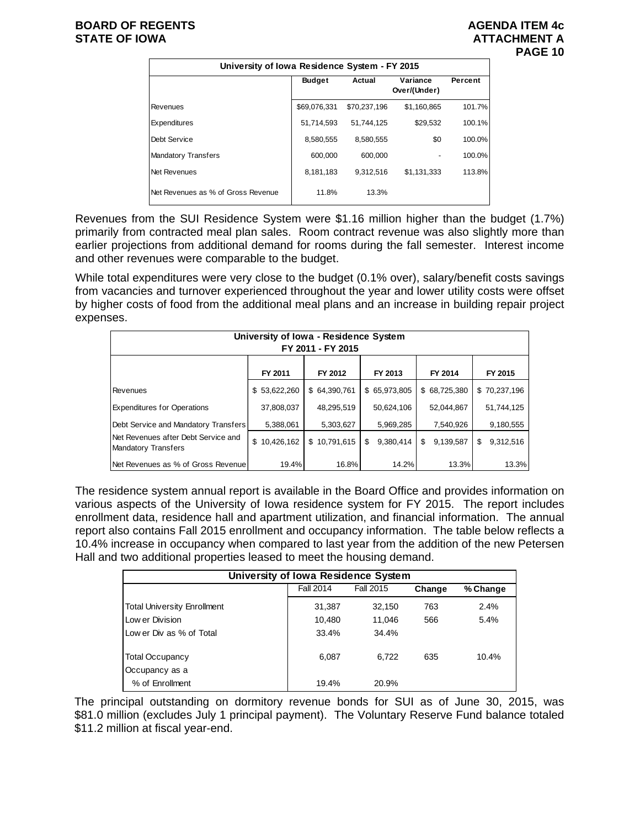# **BOARD OF REGENTS AGENUS AGENDA ITEM 4c STATE OF IOWA ATTACHMENT A**



|                                    | University of Iowa Residence System - FY 2015 |              |                          |         |  |  |  |  |  |  |  |  |
|------------------------------------|-----------------------------------------------|--------------|--------------------------|---------|--|--|--|--|--|--|--|--|
|                                    | <b>Budget</b>                                 | Actual       | Variance<br>Over/(Under) | Percent |  |  |  |  |  |  |  |  |
| Revenues                           | \$69,076,331                                  | \$70,237,196 | \$1,160,865              | 101.7%  |  |  |  |  |  |  |  |  |
| Expenditures                       | 51,714,593                                    | 51.744.125   | \$29.532                 | 100.1%  |  |  |  |  |  |  |  |  |
| Debt Service                       | 8,580,555                                     | 8,580,555    | \$0                      | 100.0%  |  |  |  |  |  |  |  |  |
| <b>Mandatory Transfers</b>         | 600,000                                       | 600.000      |                          | 100.0%  |  |  |  |  |  |  |  |  |
| Net Revenues                       | 8,181,183                                     | 9.312.516    | \$1.131.333              | 113.8%  |  |  |  |  |  |  |  |  |
| Net Revenues as % of Gross Revenue | 11.8%                                         | 13.3%        |                          |         |  |  |  |  |  |  |  |  |

Revenues from the SUI Residence System were \$1.16 million higher than the budget (1.7%) primarily from contracted meal plan sales. Room contract revenue was also slightly more than earlier projections from additional demand for rooms during the fall semester. Interest income and other revenues were comparable to the budget.

While total expenditures were very close to the budget (0.1% over), salary/benefit costs savings from vacancies and turnover experienced throughout the year and lower utility costs were offset by higher costs of food from the additional meal plans and an increase in building repair project expenses.

| University of Iowa - Residence System<br>FY 2011 - FY 2015        |                  |              |                  |                 |                  |  |  |  |  |  |  |
|-------------------------------------------------------------------|------------------|--------------|------------------|-----------------|------------------|--|--|--|--|--|--|
|                                                                   | FY 2011          | FY 2012      | FY 2013          | FY 2014         | FY 2015          |  |  |  |  |  |  |
| Revenues                                                          | 53,622,260<br>\$ | \$64,390,761 | \$65,973,805     | \$68,725,380    | \$70,237,196     |  |  |  |  |  |  |
| <b>Expenditures for Operations</b>                                | 37,808,037       | 48,295,519   | 50,624,106       | 52,044,867      | 51,744,125       |  |  |  |  |  |  |
| Debt Service and Mandatory Transfers                              | 5,388,061        | 5,303,627    | 5,969,285        | 7,540,926       | 9,180,555        |  |  |  |  |  |  |
| Net Revenues after Debt Service and<br><b>Mandatory Transfers</b> | \$<br>10,426,162 | \$10,791,615 | 9,380,414<br>\$. | 9,139,587<br>\$ | 9,312,516<br>\$. |  |  |  |  |  |  |
| Net Revenues as % of Gross Revenue                                | 19.4%            | 16.8%        | 14.2%            | 13.3%           | 13.3%            |  |  |  |  |  |  |

The residence system annual report is available in the Board Office and provides information on various aspects of the University of Iowa residence system for FY 2015. The report includes enrollment data, residence hall and apartment utilization, and financial information. The annual report also contains Fall 2015 enrollment and occupancy information. The table below reflects a 10.4% increase in occupancy when compared to last year from the addition of the new Petersen Hall and two additional properties leased to meet the housing demand.

| University of Iowa Residence System |                  |           |        |          |  |  |  |  |  |  |  |
|-------------------------------------|------------------|-----------|--------|----------|--|--|--|--|--|--|--|
|                                     | <b>Fall 2014</b> | Fall 2015 | Change | % Change |  |  |  |  |  |  |  |
| <b>Total University Enrollment</b>  | 31,387           | 32,150    | 763    | 2.4%     |  |  |  |  |  |  |  |
| Low er Division                     | 10,480           | 11.046    | 566    | 5.4%     |  |  |  |  |  |  |  |
| Low er Div as % of Total            | 33.4%            | 34.4%     |        |          |  |  |  |  |  |  |  |
| <b>Total Occupancy</b>              | 6,087            | 6.722     | 635    | 10.4%    |  |  |  |  |  |  |  |
| Occupancy as a                      |                  |           |        |          |  |  |  |  |  |  |  |
| % of Enrollment                     | 19.4%            | 20.9%     |        |          |  |  |  |  |  |  |  |

The principal outstanding on dormitory revenue bonds for SUI as of June 30, 2015, was \$81.0 million (excludes July 1 principal payment). The Voluntary Reserve Fund balance totaled \$11.2 million at fiscal year-end.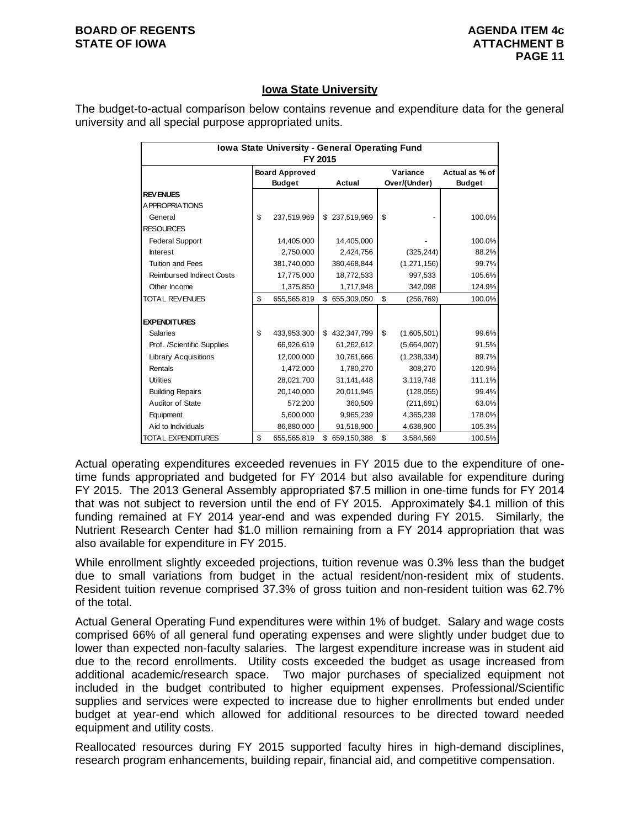#### **BOARD OF REGENTS AGENUS AGENDA ITEM 4c STATE OF IOWA** AND **ATTACHMENT B**

# **Iowa State University**

The budget-to-actual comparison below contains revenue and expenditure data for the general university and all special purpose appropriated units.

| Iowa State University - General Operating Fund<br>FY 2015 |    |                                        |    |               |    |                          |                                 |  |  |  |  |
|-----------------------------------------------------------|----|----------------------------------------|----|---------------|----|--------------------------|---------------------------------|--|--|--|--|
|                                                           |    | <b>Board Approved</b><br><b>Budget</b> |    | Actual        |    | Variance<br>Over/(Under) | Actual as % of<br><b>Budget</b> |  |  |  |  |
| <b>REVENUES</b>                                           |    |                                        |    |               |    |                          |                                 |  |  |  |  |
| <b>APPROPRIATIONS</b>                                     |    |                                        |    |               |    |                          |                                 |  |  |  |  |
| General                                                   | \$ | 237,519,969                            | \$ | 237,519,969   | \$ |                          | 100.0%                          |  |  |  |  |
| <b>RESOURCES</b>                                          |    |                                        |    |               |    |                          |                                 |  |  |  |  |
| <b>Federal Support</b>                                    |    | 14,405,000                             |    | 14,405,000    |    |                          | 100.0%                          |  |  |  |  |
| Interest                                                  |    | 2,750,000                              |    | 2,424,756     |    | (325, 244)               | 88.2%                           |  |  |  |  |
| <b>Tuition and Fees</b>                                   |    | 381,740,000                            |    | 380,468,844   |    | (1,271,156)              | 99.7%                           |  |  |  |  |
| <b>Reimbursed Indirect Costs</b>                          |    | 17,775,000                             |    | 18,772,533    |    | 997,533                  | 105.6%                          |  |  |  |  |
| Other Income                                              |    | 1,375,850                              |    | 1,717,948     |    | 342,098                  | 124.9%                          |  |  |  |  |
| <b>TOTAL REVENUES</b>                                     | \$ | 655,565,819                            |    | \$655,309,050 | \$ | (256, 769)               | 100.0%                          |  |  |  |  |
|                                                           |    |                                        |    |               |    |                          |                                 |  |  |  |  |
| <b>EXPENDITURES</b>                                       |    |                                        |    |               |    |                          |                                 |  |  |  |  |
| <b>Salaries</b>                                           | \$ | 433,953,300                            |    | \$432,347,799 | \$ | (1,605,501)              | 99.6%                           |  |  |  |  |
| Prof. /Scientific Supplies                                |    | 66,926,619                             |    | 61,262,612    |    | (5,664,007)              | 91.5%                           |  |  |  |  |
| <b>Library Acquisitions</b>                               |    | 12,000,000                             |    | 10,761,666    |    | (1, 238, 334)            | 89.7%                           |  |  |  |  |
| Rentals                                                   |    | 1,472,000                              |    | 1,780,270     |    | 308,270                  | 120.9%                          |  |  |  |  |
| <b>Utilities</b>                                          |    | 28,021,700                             |    | 31,141,448    |    | 3,119,748                | 111.1%                          |  |  |  |  |
| <b>Building Repairs</b>                                   |    | 20,140,000                             |    | 20,011,945    |    | (128, 055)               | 99.4%                           |  |  |  |  |
| Auditor of State                                          |    | 572,200                                |    | 360,509       |    | (211, 691)               | 63.0%                           |  |  |  |  |
| Equipment                                                 |    | 5,600,000                              |    | 9,965,239     |    | 4,365,239                | 178.0%                          |  |  |  |  |
| Aid to Individuals                                        |    | 86,880,000                             |    | 91,518,900    |    | 4,638,900                | 105.3%                          |  |  |  |  |
| <b>TOTAL EXPENDITURES</b>                                 | \$ | 655,565,819                            | \$ | 659,150,388   | \$ | 3,584,569                | 100.5%                          |  |  |  |  |

Actual operating expenditures exceeded revenues in FY 2015 due to the expenditure of onetime funds appropriated and budgeted for FY 2014 but also available for expenditure during FY 2015. The 2013 General Assembly appropriated \$7.5 million in one-time funds for FY 2014 that was not subject to reversion until the end of FY 2015. Approximately \$4.1 million of this funding remained at FY 2014 year-end and was expended during FY 2015. Similarly, the Nutrient Research Center had \$1.0 million remaining from a FY 2014 appropriation that was also available for expenditure in FY 2015.

While enrollment slightly exceeded projections, tuition revenue was 0.3% less than the budget due to small variations from budget in the actual resident/non-resident mix of students. Resident tuition revenue comprised 37.3% of gross tuition and non-resident tuition was 62.7% of the total.

Actual General Operating Fund expenditures were within 1% of budget. Salary and wage costs comprised 66% of all general fund operating expenses and were slightly under budget due to lower than expected non-faculty salaries. The largest expenditure increase was in student aid due to the record enrollments. Utility costs exceeded the budget as usage increased from additional academic/research space. Two major purchases of specialized equipment not included in the budget contributed to higher equipment expenses. Professional/Scientific supplies and services were expected to increase due to higher enrollments but ended under budget at year-end which allowed for additional resources to be directed toward needed equipment and utility costs.

Reallocated resources during FY 2015 supported faculty hires in high-demand disciplines, research program enhancements, building repair, financial aid, and competitive compensation.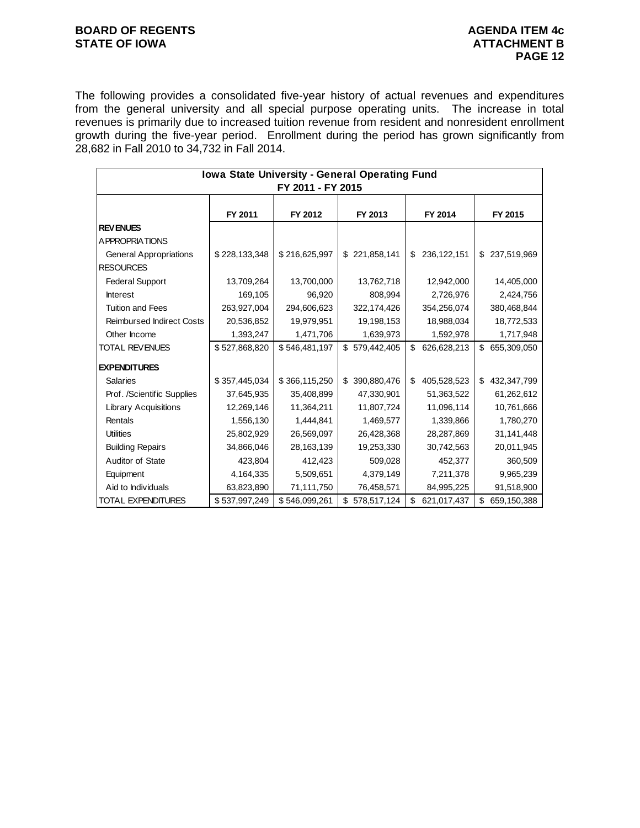# **BOARD OF REGENTS AGENUM AGENDA ITEM 4c** STATE OF IOWA **ATTACHMENT B**

The following provides a consolidated five-year history of actual revenues and expenditures from the general university and all special purpose operating units. The increase in total revenues is primarily due to increased tuition revenue from resident and nonresident enrollment growth during the five-year period. Enrollment during the period has grown significantly from 28,682 in Fall 2010 to 34,732 in Fall 2014.

| Iowa State University - General Operating Fund |               |                   |                   |                     |                   |  |  |  |  |  |
|------------------------------------------------|---------------|-------------------|-------------------|---------------------|-------------------|--|--|--|--|--|
|                                                |               | FY 2011 - FY 2015 |                   |                     |                   |  |  |  |  |  |
|                                                |               |                   |                   |                     |                   |  |  |  |  |  |
|                                                | FY 2011       | FY 2012           | FY 2013           | FY 2014             | FY 2015           |  |  |  |  |  |
| <b>REVENUES</b>                                |               |                   |                   |                     |                   |  |  |  |  |  |
| A PPROPRIATIONS                                |               |                   |                   |                     |                   |  |  |  |  |  |
| <b>General Appropriations</b>                  | \$228,133,348 | \$216,625,997     | \$221,858,141     | 236, 122, 151<br>\$ | \$237,519,969     |  |  |  |  |  |
| <b>RESOURCES</b>                               |               |                   |                   |                     |                   |  |  |  |  |  |
| <b>Federal Support</b>                         | 13,709,264    | 13,700,000        | 13,762,718        | 12,942,000          | 14,405,000        |  |  |  |  |  |
| <b>Interest</b>                                | 169,105       | 96,920            | 808,994           | 2,726,976           | 2,424,756         |  |  |  |  |  |
| <b>Tuition and Fees</b>                        | 263,927,004   | 294,606,623       | 322,174,426       | 354,256,074         | 380,468,844       |  |  |  |  |  |
| <b>Reimbursed Indirect Costs</b>               | 20,536,852    | 19,979,951        | 19,198,153        | 18,988,034          | 18,772,533        |  |  |  |  |  |
| Other Income                                   | 1,393,247     | 1,471,706         | 1,639,973         | 1,592,978           | 1,717,948         |  |  |  |  |  |
| <b>TOTAL REVENUES</b>                          | \$527,868,820 | \$546,481,197     | \$579,442,405     | \$<br>626,628,213   | \$655,309,050     |  |  |  |  |  |
| <b>EXPENDITURES</b>                            |               |                   |                   |                     |                   |  |  |  |  |  |
| <b>Salaries</b>                                | \$357,445,034 | \$366,115,250     | 390,880,476<br>\$ | \$<br>405,528,523   | \$<br>432,347,799 |  |  |  |  |  |
| Prof. /Scientific Supplies                     | 37,645,935    | 35,408,899        | 47,330,901        | 51,363,522          | 61,262,612        |  |  |  |  |  |
| <b>Library Acquisitions</b>                    | 12,269,146    | 11,364,211        | 11,807,724        | 11,096,114          | 10,761,666        |  |  |  |  |  |
| Rentals                                        | 1,556,130     | 1,444,841         | 1,469,577         | 1,339,866           | 1,780,270         |  |  |  |  |  |
| <b>Utilities</b>                               | 25,802,929    | 26,569,097        | 26,428,368        | 28,287,869          | 31,141,448        |  |  |  |  |  |
| <b>Building Repairs</b>                        | 34,866,046    | 28,163,139        | 19,253,330        | 30,742,563          | 20,011,945        |  |  |  |  |  |
| Auditor of State                               | 423,804       | 412,423           | 509,028           | 452,377             | 360,509           |  |  |  |  |  |
| Equipment                                      | 4,164,335     | 5,509,651         | 4,379,149         | 7,211,378           | 9,965,239         |  |  |  |  |  |
| Aid to Individuals                             | 63,823,890    | 71,111,750        | 76,458,571        | 84,995,225          | 91,518,900        |  |  |  |  |  |
| <b>TOTAL EXPENDITURES</b>                      | \$537,997,249 | \$546,099,261     | \$<br>578,517,124 | \$<br>621,017,437   | \$<br>659,150,388 |  |  |  |  |  |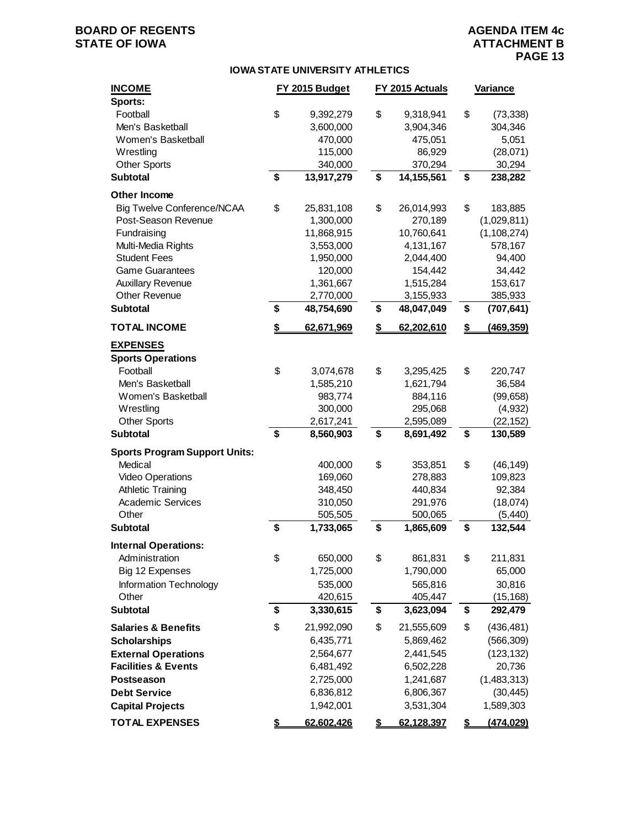# **BOARD OF REGENTS AGENUAL STATE OF IOWA**<br> **BOARD OF IOWA**<br> **BOARD OF IOWA**<br> **ATTACHMENT B**

## **IOWA STATE UNIVERSITY ATHLETICS**

| <b>INCOME</b><br>Sports:             | FY 2015 Budget   | FY 2015 Actuals |            | Variance |               |
|--------------------------------------|------------------|-----------------|------------|----------|---------------|
| Football                             | \$<br>9,392,279  | \$              | 9,318,941  | \$       | (73, 338)     |
| Men's Basketball                     | 3,600,000        |                 | 3,904,346  |          | 304,346       |
| Women's Basketball                   | 470,000          |                 | 475,051    |          | 5,051         |
| Wrestling                            | 115,000          |                 | 86,929     |          | (28,071)      |
| <b>Other Sports</b>                  | 340,000          |                 | 370,294    |          | 30,294        |
| <b>Subtotal</b>                      | \$<br>13,917,279 | \$              | 14,155,561 | \$       | 238,282       |
| Other Income                         |                  |                 |            |          |               |
| <b>Big Twelve Conference/NCAA</b>    | \$<br>25,831,108 | \$              | 26,014,993 | \$       | 183,885       |
| Post-Season Revenue                  | 1,300,000        |                 | 270,189    |          | (1,029,811)   |
| Fundraising                          | 11,868,915       |                 | 10,760,641 |          | (1, 108, 274) |
| Multi-Media Rights                   | 3,553,000        |                 | 4,131,167  |          | 578,167       |
| <b>Student Fees</b>                  | 1,950,000        |                 | 2,044,400  |          | 94,400        |
| <b>Game Guarantees</b>               | 120,000          |                 | 154,442    |          | 34,442        |
| <b>Auxillary Revenue</b>             | 1,361,667        |                 | 1,515,284  |          | 153,617       |
| <b>Other Revenue</b>                 | 2,770,000        |                 | 3,155,933  |          | 385,933       |
| <b>Subtotal</b>                      | \$<br>48,754,690 | \$              | 48,047,049 | \$       | (707, 641)    |
| <b>TOTAL INCOME</b>                  | \$<br>62,671,969 | \$              | 62,202,610 | \$       | (469, 359)    |
| <b>EXPENSES</b>                      |                  |                 |            |          |               |
| <b>Sports Operations</b>             |                  |                 |            |          |               |
| Football                             | \$<br>3,074,678  | \$              | 3,295,425  | \$       | 220,747       |
| Men's Basketball                     | 1,585,210        |                 | 1,621,794  |          | 36,584        |
| Women's Basketball                   | 983,774          |                 | 884,116    |          | (99, 658)     |
| Wrestling                            | 300,000          |                 | 295,068    |          | (4,932)       |
| <b>Other Sports</b>                  | 2,617,241        |                 | 2,595,089  |          | (22, 152)     |
| <b>Subtotal</b>                      | \$<br>8,560,903  | \$              | 8,691,492  | \$       | 130,589       |
| <b>Sports Program Support Units:</b> |                  |                 |            |          |               |
| Medical                              | 400,000          | \$              | 353,851    | \$       | (46, 149)     |
| Video Operations                     | 169,060          |                 | 278,883    |          | 109,823       |
| <b>Athletic Training</b>             | 348,450          |                 | 440,834    |          | 92,384        |
| <b>Academic Services</b>             | 310,050          |                 | 291,976    |          | (18,074)      |
| Other                                | 505,505          |                 | 500,065    |          | (5, 440)      |
| <b>Subtotal</b>                      | \$<br>1,733,065  | \$              | 1,865,609  | \$       | 132,544       |
| <b>Internal Operations:</b>          |                  |                 |            |          |               |
| Administration                       | \$<br>650,000    | \$              | 861,831    | \$       | 211,831       |
| Big 12 Expenses                      | 1,725,000        |                 | 1,790,000  |          | 65,000        |
| Information Technology               | 535,000          |                 | 565,816    |          | 30,816        |
| Other                                | 420,615          |                 | 405,447    |          | (15, 168)     |
| <b>Subtotal</b>                      | \$<br>3,330,615  | \$              | 3,623,094  | \$       | 292,479       |
| <b>Salaries &amp; Benefits</b>       | \$<br>21,992,090 | \$              | 21,555,609 | \$       | (436, 481)    |
| <b>Scholarships</b>                  | 6,435,771        |                 | 5,869,462  |          | (566, 309)    |
| <b>External Operations</b>           | 2,564,677        |                 | 2,441,545  |          | (123, 132)    |
| <b>Facilities &amp; Events</b>       | 6,481,492        |                 | 6,502,228  |          | 20,736        |
| Postseason                           | 2,725,000        |                 | 1,241,687  |          | (1,483,313)   |
| <b>Debt Service</b>                  | 6,836,812        |                 | 6,806,367  |          | (30, 445)     |
| <b>Capital Projects</b>              | 1,942,001        |                 | 3,531,304  |          | 1,589,303     |
| <b>TOTAL EXPENSES</b>                | \$<br>62,602,426 | \$              | 62,128,397 | \$       | (474, 029)    |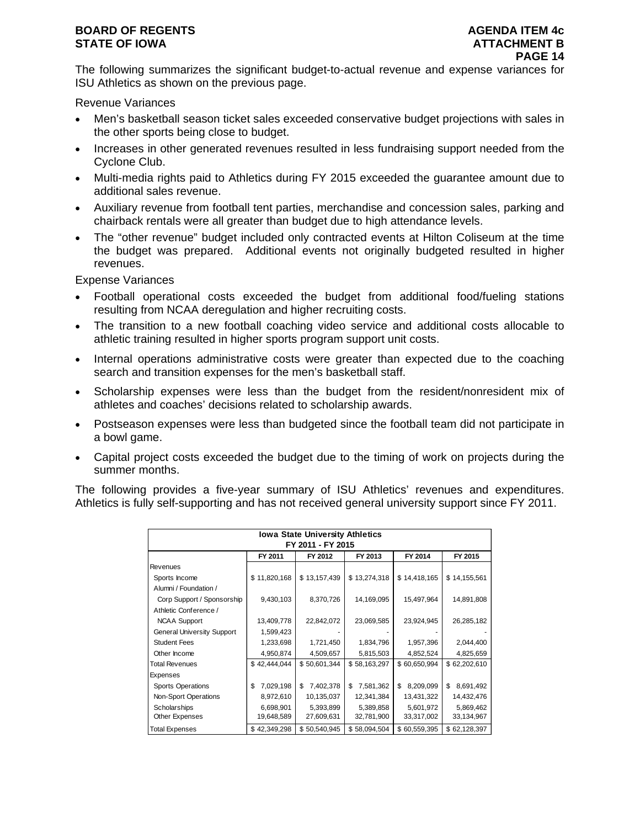# **BOARD OF REGENTS AGENUS AGENDA ITEM 4c STATE OF IOWA** AND **ATTACHMENT B**

The following summarizes the significant budget-to-actual revenue and expense variances for ISU Athletics as shown on the previous page.

Revenue Variances

- Men's basketball season ticket sales exceeded conservative budget projections with sales in the other sports being close to budget.
- Increases in other generated revenues resulted in less fundraising support needed from the Cyclone Club.
- Multi-media rights paid to Athletics during FY 2015 exceeded the guarantee amount due to additional sales revenue.
- Auxiliary revenue from football tent parties, merchandise and concession sales, parking and chairback rentals were all greater than budget due to high attendance levels.
- The "other revenue" budget included only contracted events at Hilton Coliseum at the time the budget was prepared. Additional events not originally budgeted resulted in higher revenues.

Expense Variances

- Football operational costs exceeded the budget from additional food/fueling stations resulting from NCAA deregulation and higher recruiting costs.
- The transition to a new football coaching video service and additional costs allocable to athletic training resulted in higher sports program support unit costs.
- Internal operations administrative costs were greater than expected due to the coaching search and transition expenses for the men's basketball staff.
- Scholarship expenses were less than the budget from the resident/nonresident mix of athletes and coaches' decisions related to scholarship awards.
- Postseason expenses were less than budgeted since the football team did not participate in a bowl game.
- Capital project costs exceeded the budget due to the timing of work on projects during the summer months.

The following provides a five-year summary of ISU Athletics' revenues and expenditures. Athletics is fully self-supporting and has not received general university support since FY 2011.

| <b>Iowa State University Athletics</b>              |                 |                 |                 |                 |                 |  |  |  |  |  |  |  |
|-----------------------------------------------------|-----------------|-----------------|-----------------|-----------------|-----------------|--|--|--|--|--|--|--|
| FY 2011 - FY 2015                                   |                 |                 |                 |                 |                 |  |  |  |  |  |  |  |
| FY 2011<br>FY 2012<br>FY 2013<br>FY 2014<br>FY 2015 |                 |                 |                 |                 |                 |  |  |  |  |  |  |  |
| Revenues                                            |                 |                 |                 |                 |                 |  |  |  |  |  |  |  |
| Sports Income                                       | \$11,820,168    | \$13,157,439    | \$13,274,318    | \$14,418,165    | \$14,155,561    |  |  |  |  |  |  |  |
| Alumni / Foundation /                               |                 |                 |                 |                 |                 |  |  |  |  |  |  |  |
| Corp Support / Sponsorship                          | 9,430,103       | 8,370,726       | 14,169,095      | 15,497,964      | 14,891,808      |  |  |  |  |  |  |  |
| Athletic Conference /                               |                 |                 |                 |                 |                 |  |  |  |  |  |  |  |
| <b>NCAA Support</b>                                 | 13,409,778      | 22,842,072      | 23,069,585      | 23,924,945      | 26,285,182      |  |  |  |  |  |  |  |
| <b>General University Support</b>                   | 1,599,423       |                 |                 |                 |                 |  |  |  |  |  |  |  |
| <b>Student Fees</b>                                 | 1,233,698       | 1,721,450       | 1,834,796       | 1,957,396       | 2,044,400       |  |  |  |  |  |  |  |
| Other Income                                        | 4,950,874       | 4,509,657       | 5,815,503       | 4,852,524       | 4,825,659       |  |  |  |  |  |  |  |
| <b>Total Revenues</b>                               | \$42,444,044    | \$50,601,344    | \$58,163,297    | \$60,650,994    | \$62,202,610    |  |  |  |  |  |  |  |
| Expenses                                            |                 |                 |                 |                 |                 |  |  |  |  |  |  |  |
| <b>Sports Operations</b>                            | 7,029,198<br>\$ | \$<br>7,402,378 | 7,581,362<br>\$ | \$<br>8,209,099 | \$<br>8,691,492 |  |  |  |  |  |  |  |
| Non-Sport Operations                                | 8,972,610       | 10,135,037      | 12,341,384      | 13,431,322      | 14,432,476      |  |  |  |  |  |  |  |
| Scholarships                                        | 6,698,901       | 5,393,899       | 5,389,858       | 5,601,972       | 5,869,462       |  |  |  |  |  |  |  |
| Other Expenses                                      | 19,648,589      | 27,609,631      | 32,781,900      | 33,317,002      | 33,134,967      |  |  |  |  |  |  |  |
| Total Expenses                                      | \$42,349,298    | \$50,540,945    | \$58,094,504    | \$60,559,395    | \$62,128,397    |  |  |  |  |  |  |  |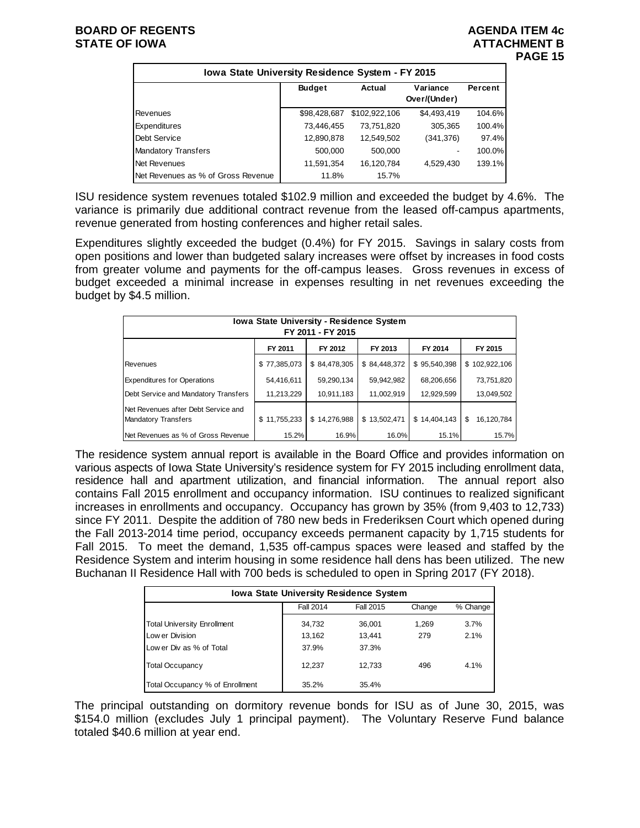|                                    | Iowa State University Residence System - FY 2015 |               |                          |         |  |  |  |  |  |  |  |  |
|------------------------------------|--------------------------------------------------|---------------|--------------------------|---------|--|--|--|--|--|--|--|--|
|                                    | <b>Budget</b><br>Actual                          |               | Variance<br>Over/(Under) | Percent |  |  |  |  |  |  |  |  |
| Revenues                           | \$98,428,687                                     | \$102,922,106 | \$4,493,419              | 104.6%  |  |  |  |  |  |  |  |  |
| Expenditures                       | 73,446,455                                       | 73,751,820    | 305,365                  | 100.4%  |  |  |  |  |  |  |  |  |
| Debt Service                       | 12,890,878                                       | 12,549,502    | (341, 376)               | 97.4%   |  |  |  |  |  |  |  |  |
| <b>Mandatory Transfers</b>         | 500,000                                          | 500.000       | $\blacksquare$           | 100.0%  |  |  |  |  |  |  |  |  |
| Net Revenues                       | 11,591,354                                       | 16,120,784    | 4,529,430                | 139.1%  |  |  |  |  |  |  |  |  |
| Net Revenues as % of Gross Revenue | 11.8%                                            | 15.7%         |                          |         |  |  |  |  |  |  |  |  |

ISU residence system revenues totaled \$102.9 million and exceeded the budget by 4.6%. The variance is primarily due additional contract revenue from the leased off-campus apartments, revenue generated from hosting conferences and higher retail sales.

Expenditures slightly exceeded the budget (0.4%) for FY 2015. Savings in salary costs from open positions and lower than budgeted salary increases were offset by increases in food costs from greater volume and payments for the off-campus leases. Gross revenues in excess of budget exceeded a minimal increase in expenses resulting in net revenues exceeding the budget by \$4.5 million.

| Iowa State University - Residence System<br>FY 2011 - FY 2015     |              |              |              |              |                  |  |  |  |  |  |  |
|-------------------------------------------------------------------|--------------|--------------|--------------|--------------|------------------|--|--|--|--|--|--|
|                                                                   | FY 2011      | FY 2012      | FY 2013      | FY 2014      | FY 2015          |  |  |  |  |  |  |
| Revenues                                                          | \$77,385,073 | \$84,478,305 | \$84,448,372 | \$95,540,398 | \$102,922,106    |  |  |  |  |  |  |
| <b>Expenditures for Operations</b>                                | 54,416,611   | 59,290,134   | 59,942,982   | 68,206,656   | 73,751,820       |  |  |  |  |  |  |
| Debt Service and Mandatory Transfers                              | 11,213,229   | 10,911,183   | 11,002,919   | 12,929,599   | 13,049,502       |  |  |  |  |  |  |
| Net Revenues after Debt Service and<br><b>Mandatory Transfers</b> | \$11,755,233 | \$14,276,988 | \$13,502,471 | \$14,404,143 | \$<br>16.120.784 |  |  |  |  |  |  |
| Net Revenues as % of Gross Revenue                                | 15.2%        | 16.9%        | 16.0%        | 15.1%        | 15.7%            |  |  |  |  |  |  |

The residence system annual report is available in the Board Office and provides information on various aspects of Iowa State University's residence system for FY 2015 including enrollment data, residence hall and apartment utilization, and financial information. The annual report also contains Fall 2015 enrollment and occupancy information. ISU continues to realized significant increases in enrollments and occupancy. Occupancy has grown by 35% (from 9,403 to 12,733) since FY 2011. Despite the addition of 780 new beds in Frederiksen Court which opened during the Fall 2013-2014 time period, occupancy exceeds permanent capacity by 1,715 students for Fall 2015. To meet the demand, 1,535 off-campus spaces were leased and staffed by the Residence System and interim housing in some residence hall dens has been utilized. The new Buchanan II Residence Hall with 700 beds is scheduled to open in Spring 2017 (FY 2018).

| <b>Iowa State University Residence System</b> |                  |           |        |          |  |  |  |  |  |  |
|-----------------------------------------------|------------------|-----------|--------|----------|--|--|--|--|--|--|
|                                               | <b>Fall 2014</b> | Fall 2015 | Change | % Change |  |  |  |  |  |  |
| <b>Total University Enrollment</b>            | 34,732           | 36,001    | 1,269  | 3.7%     |  |  |  |  |  |  |
| Low er Division                               | 13,162           | 13,441    | 279    | 2.1%     |  |  |  |  |  |  |
| Low er Div as % of Total                      | 37.9%            | 37.3%     |        |          |  |  |  |  |  |  |
| <b>Total Occupancy</b>                        | 12.237           | 12.733    | 496    | 4.1%     |  |  |  |  |  |  |
| Total Occupancy % of Enrollment               | 35.2%            | 35.4%     |        |          |  |  |  |  |  |  |

The principal outstanding on dormitory revenue bonds for ISU as of June 30, 2015, was \$154.0 million (excludes July 1 principal payment). The Voluntary Reserve Fund balance totaled \$40.6 million at year end.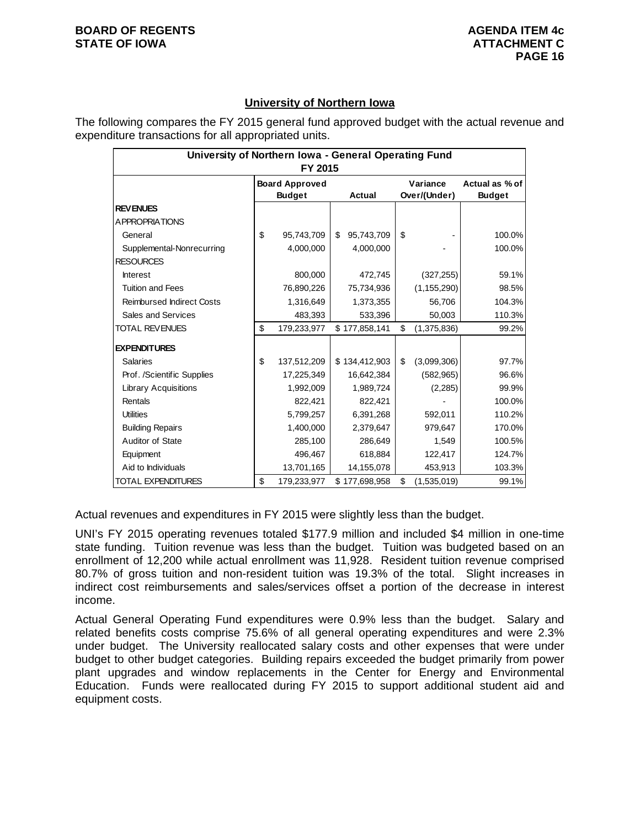# **University of Northern Iowa**

The following compares the FY 2015 general fund approved budget with the actual revenue and expenditure transactions for all appropriated units.

| University of Northern Iowa - General Operating Fund<br>FY 2015 |    |                                        |    |               |    |                          |                                 |  |  |  |
|-----------------------------------------------------------------|----|----------------------------------------|----|---------------|----|--------------------------|---------------------------------|--|--|--|
|                                                                 |    | <b>Board Approved</b><br><b>Budget</b> |    | Actual        |    | Variance<br>Over/(Under) | Actual as % of<br><b>Budget</b> |  |  |  |
| <b>REVENUES</b>                                                 |    |                                        |    |               |    |                          |                                 |  |  |  |
| A PPROPRIATIONS                                                 |    |                                        |    |               |    |                          |                                 |  |  |  |
| General                                                         | \$ | 95,743,709                             | \$ | 95,743,709    | \$ |                          | 100.0%                          |  |  |  |
| Supplemental-Nonrecurring                                       |    | 4,000,000                              |    | 4,000,000     |    |                          | 100.0%                          |  |  |  |
| <b>RESOURCES</b>                                                |    |                                        |    |               |    |                          |                                 |  |  |  |
| <b>Interest</b>                                                 |    | 800,000                                |    | 472,745       |    | (327, 255)               | 59.1%                           |  |  |  |
| <b>Tuition and Fees</b>                                         |    | 76,890,226                             |    | 75,734,936    |    | (1, 155, 290)            | 98.5%                           |  |  |  |
| <b>Reimbursed Indirect Costs</b>                                |    | 1,316,649                              |    | 1,373,355     |    | 56,706                   | 104.3%                          |  |  |  |
| Sales and Services                                              |    | 483,393                                |    | 533,396       |    | 50,003                   | 110.3%                          |  |  |  |
| TOTAL REVENUES                                                  | \$ | 179,233,977                            |    | \$177,858,141 | \$ | (1,375,836)              | 99.2%                           |  |  |  |
| <b>EXPENDITURES</b>                                             |    |                                        |    |               |    |                          |                                 |  |  |  |
| <b>Salaries</b>                                                 | \$ | 137,512,209                            |    | \$134,412,903 | \$ | (3,099,306)              | 97.7%                           |  |  |  |
| Prof. /Scientific Supplies                                      |    | 17,225,349                             |    | 16,642,384    |    | (582, 965)               | 96.6%                           |  |  |  |
| <b>Library Acquisitions</b>                                     |    | 1,992,009                              |    | 1,989,724     |    | (2, 285)                 | 99.9%                           |  |  |  |
| Rentals                                                         |    | 822,421                                |    | 822,421       |    |                          | 100.0%                          |  |  |  |
| <b>Utilities</b>                                                |    | 5,799,257                              |    | 6,391,268     |    | 592,011                  | 110.2%                          |  |  |  |
| <b>Building Repairs</b>                                         |    | 1,400,000                              |    | 2,379,647     |    | 979,647                  | 170.0%                          |  |  |  |
| Auditor of State                                                |    | 285,100                                |    | 286,649       |    | 1,549                    | 100.5%                          |  |  |  |
| Equipment                                                       |    | 496,467                                |    | 618,884       |    | 122,417                  | 124.7%                          |  |  |  |
| Aid to Individuals                                              |    | 13,701,165                             |    | 14,155,078    |    | 453,913                  | 103.3%                          |  |  |  |
| TOTAL EXPENDITURES                                              | \$ | 179,233,977                            |    | \$177,698,958 | \$ | (1,535,019)              | 99.1%                           |  |  |  |

Actual revenues and expenditures in FY 2015 were slightly less than the budget.

UNI's FY 2015 operating revenues totaled \$177.9 million and included \$4 million in one-time state funding. Tuition revenue was less than the budget. Tuition was budgeted based on an enrollment of 12,200 while actual enrollment was 11,928. Resident tuition revenue comprised 80.7% of gross tuition and non-resident tuition was 19.3% of the total. Slight increases in indirect cost reimbursements and sales/services offset a portion of the decrease in interest income.

Actual General Operating Fund expenditures were 0.9% less than the budget. Salary and related benefits costs comprise 75.6% of all general operating expenditures and were 2.3% under budget. The University reallocated salary costs and other expenses that were under budget to other budget categories. Building repairs exceeded the budget primarily from power plant upgrades and window replacements in the Center for Energy and Environmental Education. Funds were reallocated during FY 2015 to support additional student aid and equipment costs.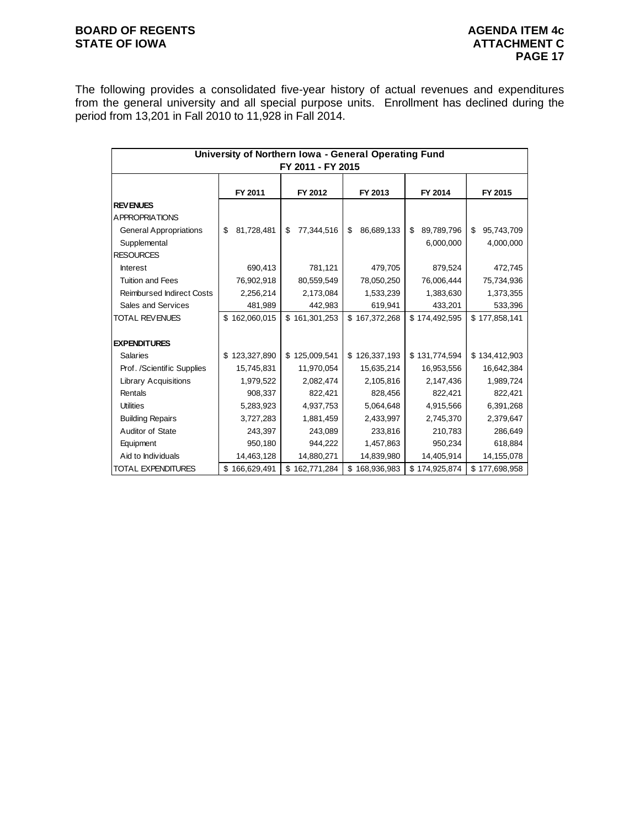# **BOARD OF REGENTS AGENUAL STATE OF IOWA**<br> **BOARD OF IOWA**<br> **BOARD OF IOWA**<br> **ATTACHMENT C**

The following provides a consolidated five-year history of actual revenues and expenditures from the general university and all special purpose units. Enrollment has declined during the period from 13,201 in Fall 2010 to 11,928 in Fall 2014.

| University of Northern Iowa - General Operating Fund<br>FY 2011 - FY 2015 |                  |                  |                  |                               |                               |  |  |  |  |  |
|---------------------------------------------------------------------------|------------------|------------------|------------------|-------------------------------|-------------------------------|--|--|--|--|--|
|                                                                           | FY 2011          | FY 2012          | FY 2013          | FY 2014                       | FY 2015                       |  |  |  |  |  |
| <b>REVENUES</b><br><b>APPROPRIATIONS</b>                                  |                  |                  |                  |                               |                               |  |  |  |  |  |
| <b>General Appropriations</b><br>Supplemental<br><b>RESOURCES</b>         | 81,728,481<br>\$ | 77,344,516<br>\$ | 86,689,133<br>\$ | \$<br>89,789,796<br>6,000,000 | \$<br>95,743,709<br>4,000,000 |  |  |  |  |  |
| <b>Interest</b>                                                           | 690,413          | 781,121          | 479,705          | 879,524                       | 472,745                       |  |  |  |  |  |
| <b>Tuition and Fees</b>                                                   | 76,902,918       | 80,559,549       | 78,050,250       | 76,006,444                    | 75,734,936                    |  |  |  |  |  |
| <b>Reimbursed Indirect Costs</b>                                          | 2,256,214        | 2,173,084        | 1,533,239        | 1,383,630                     | 1,373,355                     |  |  |  |  |  |
| Sales and Services                                                        | 481,989          | 442,983          | 619,941          | 433,201                       | 533,396                       |  |  |  |  |  |
| <b>TOTAL REVENUES</b>                                                     | \$162,060,015    | \$161,301,253    | \$167,372,268    | \$174,492,595                 | \$177,858,141                 |  |  |  |  |  |
| <b>EXPENDITURES</b>                                                       |                  |                  |                  |                               |                               |  |  |  |  |  |
| <b>Salaries</b>                                                           | \$123,327,890    | \$125,009,541    | \$126,337,193    | \$131,774,594                 | \$134,412,903                 |  |  |  |  |  |
| Prof. /Scientific Supplies                                                | 15,745,831       | 11,970,054       | 15,635,214       | 16,953,556                    | 16,642,384                    |  |  |  |  |  |
| <b>Library Acquisitions</b>                                               | 1,979,522        | 2,082,474        | 2,105,816        | 2,147,436                     | 1,989,724                     |  |  |  |  |  |
| Rentals                                                                   | 908,337          | 822,421          | 828,456          | 822,421                       | 822,421                       |  |  |  |  |  |
| <b>Utilities</b>                                                          | 5,283,923        | 4,937,753        | 5,064,648        | 4,915,566                     | 6,391,268                     |  |  |  |  |  |
| <b>Building Repairs</b>                                                   | 3,727,283        | 1,881,459        | 2,433,997        | 2,745,370                     | 2,379,647                     |  |  |  |  |  |
| Auditor of State                                                          | 243,397          | 243,089          | 233,816          | 210,783                       | 286,649                       |  |  |  |  |  |
| Equipment                                                                 | 950,180          | 944,222          | 1,457,863        | 950,234                       | 618,884                       |  |  |  |  |  |
| Aid to Individuals                                                        | 14,463,128       | 14,880,271       | 14,839,980       | 14,405,914                    | 14,155,078                    |  |  |  |  |  |
| <b>TOTAL EXPENDITURES</b>                                                 | \$166,629,491    | \$162,771,284    | \$168,936,983    | \$174,925,874                 | \$177,698,958                 |  |  |  |  |  |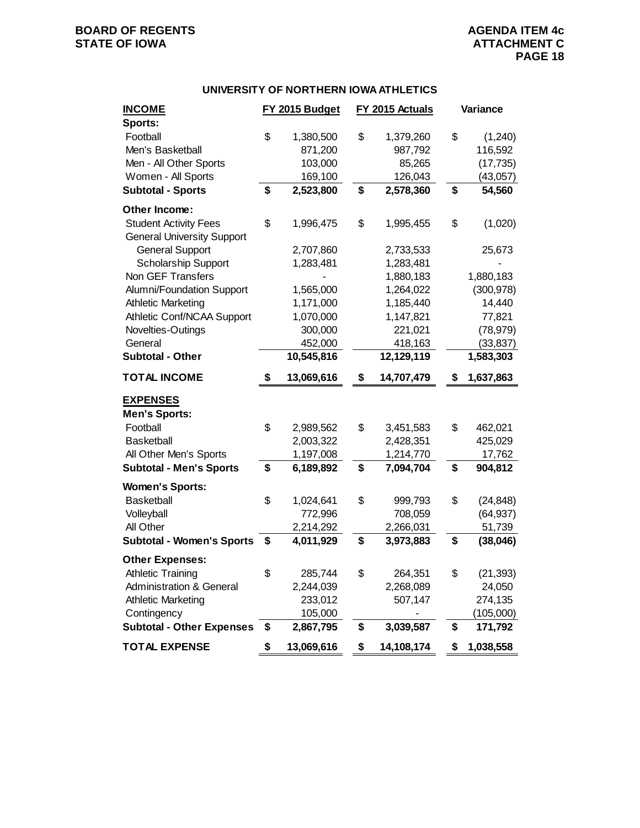# **BOARD OF REGENTS AGENUAL STATE OF IOWA**<br> **BOARD OF IOWA**<br> **BOARD OF IOWA**<br> **ATTACHMENT C**

## **UNIVERSITY OF NORTHERN IOWA ATHLETICS**

| <b>INCOME</b>                       | FY 2015 Budget   | FY 2015 Actuals  | Variance        |
|-------------------------------------|------------------|------------------|-----------------|
| Sports:                             |                  |                  |                 |
| Football                            | \$<br>1,380,500  | \$<br>1,379,260  | \$<br>(1,240)   |
| Men's Basketball                    | 871,200          | 987,792          | 116,592         |
| Men - All Other Sports              | 103,000          | 85,265           | (17, 735)       |
| Women - All Sports                  | 169,100          | 126,043          | (43,057)        |
| <b>Subtotal - Sports</b>            | \$<br>2,523,800  | \$<br>2,578,360  | \$<br>54,560    |
| Other Income:                       |                  |                  |                 |
| <b>Student Activity Fees</b>        | \$<br>1,996,475  | \$<br>1,995,455  | \$<br>(1,020)   |
| <b>General University Support</b>   |                  |                  |                 |
| <b>General Support</b>              | 2,707,860        | 2,733,533        | 25,673          |
| <b>Scholarship Support</b>          | 1,283,481        | 1,283,481        |                 |
| Non GEF Transfers                   |                  | 1,880,183        | 1,880,183       |
| Alumni/Foundation Support           | 1,565,000        | 1,264,022        | (300, 978)      |
| <b>Athletic Marketing</b>           | 1,171,000        | 1,185,440        | 14,440          |
| Athletic Conf/NCAA Support          | 1,070,000        | 1,147,821        | 77,821          |
| Novelties-Outings                   | 300,000          | 221,021          | (78, 979)       |
| General                             | 452,000          | 418,163          | (33, 837)       |
| <b>Subtotal - Other</b>             | 10,545,816       | 12,129,119       | 1,583,303       |
| <b>TOTAL INCOME</b>                 | \$<br>13,069,616 | \$<br>14,707,479 | \$<br>1,637,863 |
| <b>EXPENSES</b>                     |                  |                  |                 |
| <b>Men's Sports:</b>                |                  |                  |                 |
| Football                            | \$<br>2,989,562  | \$<br>3,451,583  | \$<br>462,021   |
| <b>Basketball</b>                   | 2,003,322        | 2,428,351        | 425,029         |
| All Other Men's Sports              | 1,197,008        | 1,214,770        | 17,762          |
| <b>Subtotal - Men's Sports</b>      | \$<br>6,189,892  | \$<br>7,094,704  | \$<br>904,812   |
| <b>Women's Sports:</b>              |                  |                  |                 |
| <b>Basketball</b>                   | \$<br>1,024,641  | \$<br>999,793    | \$<br>(24, 848) |
| Volleyball                          | 772,996          | 708,059          | (64, 937)       |
| All Other                           | 2,214,292        | 2,266,031        | 51,739          |
| <b>Subtotal - Women's Sports</b>    | \$<br>4,011,929  | \$<br>3,973,883  | \$<br>(38, 046) |
| <b>Other Expenses:</b>              |                  |                  |                 |
| <b>Athletic Training</b>            | \$<br>285,744    | \$<br>264,351    | \$<br>(21, 393) |
| <b>Administration &amp; General</b> | 2,244,039        | 2,268,089        | 24,050          |
| <b>Athletic Marketing</b>           | 233,012          | 507,147          | 274,135         |
| Contingency                         | 105,000          |                  | (105,000)       |
| <b>Subtotal - Other Expenses</b>    | \$<br>2,867,795  | \$<br>3,039,587  | \$<br>171,792   |
| <b>TOTAL EXPENSE</b>                | \$<br>13,069,616 | \$<br>14,108,174 | \$<br>1,038,558 |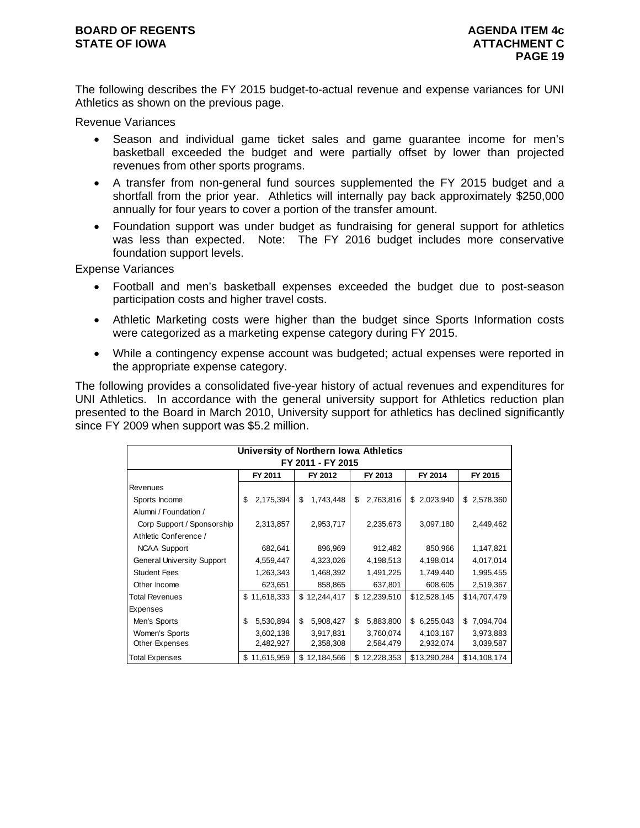# **BOARD OF REGENTS AGENUS AGENDA ITEM 4c STATE OF IOWA ATTACHMENT C**

The following describes the FY 2015 budget-to-actual revenue and expense variances for UNI Athletics as shown on the previous page.

Revenue Variances

- Season and individual game ticket sales and game guarantee income for men's basketball exceeded the budget and were partially offset by lower than projected revenues from other sports programs.
- A transfer from non-general fund sources supplemented the FY 2015 budget and a shortfall from the prior year. Athletics will internally pay back approximately \$250,000 annually for four years to cover a portion of the transfer amount.
- Foundation support was under budget as fundraising for general support for athletics was less than expected. Note: The FY 2016 budget includes more conservative foundation support levels.

Expense Variances

- Football and men's basketball expenses exceeded the budget due to post-season participation costs and higher travel costs.
- Athletic Marketing costs were higher than the budget since Sports Information costs were categorized as a marketing expense category during FY 2015.
- While a contingency expense account was budgeted; actual expenses were reported in the appropriate expense category.

The following provides a consolidated five-year history of actual revenues and expenditures for UNI Athletics. In accordance with the general university support for Athletics reduction plan presented to the Board in March 2010, University support for athletics has declined significantly since FY 2009 when support was \$5.2 million.

|                                   | University of Northern Iowa Athletics |              |    |            |    |              |    |              |  |              |  |  |
|-----------------------------------|---------------------------------------|--------------|----|------------|----|--------------|----|--------------|--|--------------|--|--|
|                                   | FY 2011 - FY 2015                     |              |    |            |    |              |    |              |  |              |  |  |
|                                   |                                       | FY 2011      |    | FY 2012    |    | FY 2013      |    | FY 2014      |  | FY 2015      |  |  |
| Revenues                          |                                       |              |    |            |    |              |    |              |  |              |  |  |
| Sports Income                     | \$                                    | 2,175,394    | \$ | 1,743,448  | \$ | 2,763,816    | \$ | 2,023,940    |  | \$2,578,360  |  |  |
| Alumni / Foundation /             |                                       |              |    |            |    |              |    |              |  |              |  |  |
| Corp Support / Sponsorship        |                                       | 2,313,857    |    | 2,953,717  |    | 2,235,673    |    | 3,097,180    |  | 2,449,462    |  |  |
| Athletic Conference /             |                                       |              |    |            |    |              |    |              |  |              |  |  |
| <b>NCAA Support</b>               |                                       | 682,641      |    | 896,969    |    | 912,482      |    | 850,966      |  | 1,147,821    |  |  |
| <b>General University Support</b> |                                       | 4,559,447    |    | 4,323,026  |    | 4,198,513    |    | 4,198,014    |  | 4,017,014    |  |  |
| <b>Student Fees</b>               |                                       | 1,263,343    |    | 1,468,392  |    | 1,491,225    |    | 1,749,440    |  | 1,995,455    |  |  |
| Other Income                      |                                       | 623,651      |    | 858,865    |    | 637,801      |    | 608,605      |  | 2,519,367    |  |  |
| <b>Total Revenues</b>             |                                       | \$11,618,333 | \$ | 12,244,417 |    | \$12,239,510 |    | \$12,528,145 |  | \$14,707,479 |  |  |
| <b>Expenses</b>                   |                                       |              |    |            |    |              |    |              |  |              |  |  |
| Men's Sports                      | \$                                    | 5,530,894    | \$ | 5,908,427  | \$ | 5,883,800    | \$ | 6,255,043    |  | \$7,094,704  |  |  |
| Women's Sports                    |                                       | 3,602,138    |    | 3,917,831  |    | 3,760,074    |    | 4,103,167    |  | 3,973,883    |  |  |
| <b>Other Expenses</b>             |                                       | 2,482,927    |    | 2,358,308  |    | 2,584,479    |    | 2,932,074    |  | 3,039,587    |  |  |
| <b>Total Expenses</b>             |                                       | \$11,615,959 | \$ | 12,184,566 |    | \$12,228,353 |    | \$13,290,284 |  | \$14,108,174 |  |  |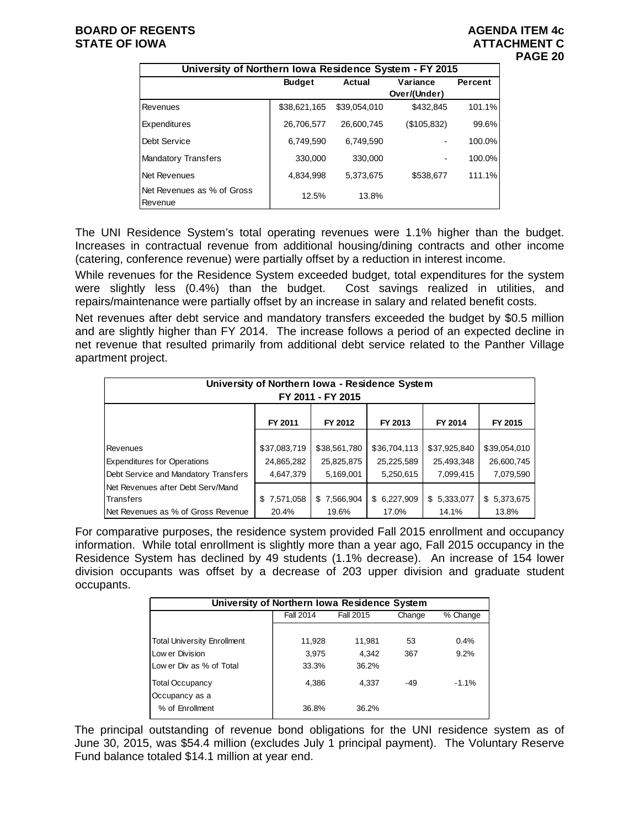|                                       | University of Northern Iowa Residence System - FY 2015 |              |              |         |  |  |  |  |  |  |  |  |
|---------------------------------------|--------------------------------------------------------|--------------|--------------|---------|--|--|--|--|--|--|--|--|
|                                       | <b>Budget</b>                                          | Actual       | Variance     | Percent |  |  |  |  |  |  |  |  |
|                                       |                                                        |              | Over/(Under) |         |  |  |  |  |  |  |  |  |
| Revenues                              | \$38,621,165                                           | \$39,054,010 | \$432.845    | 101.1%  |  |  |  |  |  |  |  |  |
| Expenditures                          | 26,706,577                                             | 26.600.745   | (\$105,832)  | 99.6%   |  |  |  |  |  |  |  |  |
| Debt Service                          | 6,749,590                                              | 6.749.590    |              | 100.0%  |  |  |  |  |  |  |  |  |
| <b>Mandatory Transfers</b>            | 330,000                                                | 330,000      |              | 100.0%  |  |  |  |  |  |  |  |  |
| Net Revenues                          | 4.834.998                                              | 5.373.675    | \$538,677    | 111.1%  |  |  |  |  |  |  |  |  |
| Net Revenues as % of Gross<br>Revenue | 12.5%                                                  | 13.8%        |              |         |  |  |  |  |  |  |  |  |

The UNI Residence System's total operating revenues were 1.1% higher than the budget. Increases in contractual revenue from additional housing/dining contracts and other income (catering, conference revenue) were partially offset by a reduction in interest income.

While revenues for the Residence System exceeded budget, total expenditures for the system were slightly less (0.4%) than the budget. Cost savings realized in utilities, and repairs/maintenance were partially offset by an increase in salary and related benefit costs.

Net revenues after debt service and mandatory transfers exceeded the budget by \$0.5 million and are slightly higher than FY 2014. The increase follows a period of an expected decline in net revenue that resulted primarily from additional debt service related to the Panther Village apartment project.

| University of Northern Iowa - Residence System<br>FY 2011 - FY 2015 |                                           |                 |              |              |              |  |  |  |  |  |  |
|---------------------------------------------------------------------|-------------------------------------------|-----------------|--------------|--------------|--------------|--|--|--|--|--|--|
| FY 2011<br>FY 2014<br>FY 2015<br>FY 2012<br>FY 2013                 |                                           |                 |              |              |              |  |  |  |  |  |  |
|                                                                     |                                           |                 |              |              |              |  |  |  |  |  |  |
| Revenues                                                            | \$37,083,719                              | \$38,561,780    | \$36,704,113 | \$37,925,840 | \$39,054,010 |  |  |  |  |  |  |
| <b>Expenditures for Operations</b>                                  | 24,865,282                                | 25,825,875      | 25,225,589   | 25,493,348   | 26,600,745   |  |  |  |  |  |  |
| Debt Service and Mandatory Transfers                                | 4,647,379                                 | 5,169,001       | 5,250,615    | 7,099,415    | 7,079,590    |  |  |  |  |  |  |
| Net Revenues after Debt Serv/Mand                                   |                                           |                 |              |              |              |  |  |  |  |  |  |
| Transfers                                                           | 7,571,058<br>\$                           | 7,566,904<br>\$ | \$6,227,909  | \$5,333,077  | \$5,373,675  |  |  |  |  |  |  |
| Net Revenues as % of Gross Revenue                                  | 13.8%<br>20.4%<br>19.6%<br>17.0%<br>14.1% |                 |              |              |              |  |  |  |  |  |  |

For comparative purposes, the residence system provided Fall 2015 enrollment and occupancy information. While total enrollment is slightly more than a year ago, Fall 2015 occupancy in the Residence System has declined by 49 students (1.1% decrease). An increase of 154 lower division occupants was offset by a decrease of 203 upper division and graduate student occupants.

| University of Northern Iowa Residence System |                  |           |        |          |  |  |  |  |  |
|----------------------------------------------|------------------|-----------|--------|----------|--|--|--|--|--|
|                                              | <b>Fall 2014</b> | Fall 2015 | Change | % Change |  |  |  |  |  |
|                                              |                  |           |        |          |  |  |  |  |  |
| <b>Total University Enrollment</b>           | 11,928           | 11,981    | 53     | 0.4%     |  |  |  |  |  |
| Low er Division                              | 3.975            | 4.342     | 367    | 9.2%     |  |  |  |  |  |
| Low er Div as % of Total                     | 33.3%            | 36.2%     |        |          |  |  |  |  |  |
| <b>Total Occupancy</b><br>Occupancy as a     | 4,386            | 4.337     | -49    | $-1.1%$  |  |  |  |  |  |
| % of Enrollment                              | 36.8%            | 36.2%     |        |          |  |  |  |  |  |

The principal outstanding of revenue bond obligations for the UNI residence system as of June 30, 2015, was \$54.4 million (excludes July 1 principal payment). The Voluntary Reserve Fund balance totaled \$14.1 million at year end.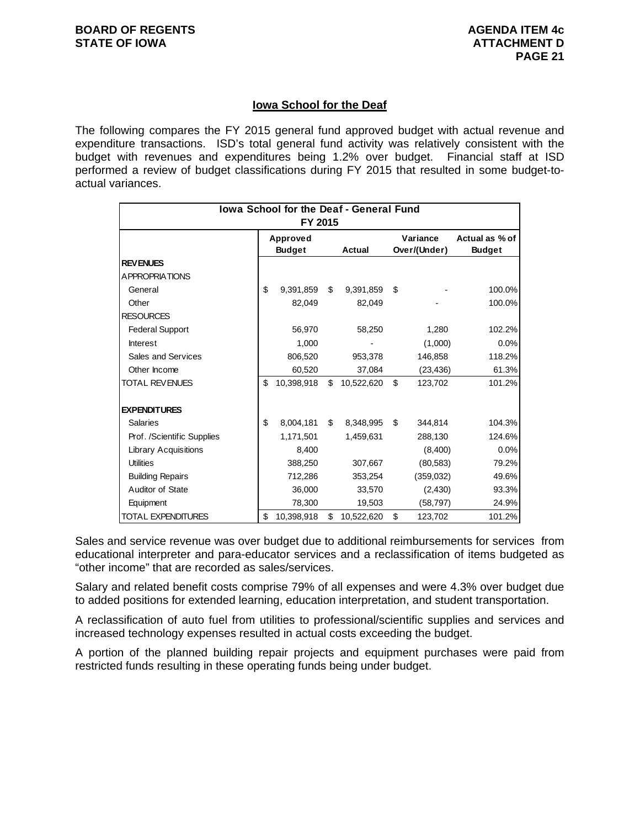# **Iowa School for the Deaf**

The following compares the FY 2015 general fund approved budget with actual revenue and expenditure transactions. ISD's total general fund activity was relatively consistent with the budget with revenues and expenditures being 1.2% over budget. Financial staff at ISD performed a review of budget classifications during FY 2015 that resulted in some budget-toactual variances.

| <b>Iowa School for the Deaf - General Fund</b><br>FY 2015 |    |               |    |               |          |              |                |  |  |
|-----------------------------------------------------------|----|---------------|----|---------------|----------|--------------|----------------|--|--|
|                                                           |    | Approved      |    |               | Variance |              | Actual as % of |  |  |
|                                                           |    | <b>Budget</b> |    | <b>Actual</b> |          | Over/(Under) | <b>Budget</b>  |  |  |
| <b>REVENUES</b>                                           |    |               |    |               |          |              |                |  |  |
| <b>APPROPRIATIONS</b>                                     |    |               |    |               |          |              |                |  |  |
| General                                                   | \$ | 9,391,859     | \$ | 9,391,859     | \$       |              | 100.0%         |  |  |
| Other                                                     |    | 82,049        |    | 82,049        |          |              | 100.0%         |  |  |
| <b>RESOURCES</b>                                          |    |               |    |               |          |              |                |  |  |
| <b>Federal Support</b>                                    |    | 56,970        |    | 58,250        |          | 1,280        | 102.2%         |  |  |
| <b>Interest</b>                                           |    | 1,000         |    |               |          | (1,000)      | 0.0%           |  |  |
| Sales and Services                                        |    | 806,520       |    | 953,378       |          | 146,858      | 118.2%         |  |  |
| Other Income                                              |    | 60,520        |    | 37,084        |          | (23, 436)    | 61.3%          |  |  |
| <b>TOTAL REVENUES</b>                                     | \$ | 10,398,918    | \$ | 10,522,620    | \$       | 123,702      | 101.2%         |  |  |
| <b>EXPENDITURES</b>                                       |    |               |    |               |          |              |                |  |  |
| <b>Salaries</b>                                           | \$ | 8,004,181     | \$ | 8,348,995     | \$       | 344.814      | 104.3%         |  |  |
| Prof. /Scientific Supplies                                |    | 1,171,501     |    | 1,459,631     |          | 288,130      | 124.6%         |  |  |
| <b>Library Acquisitions</b>                               |    | 8.400         |    |               |          | (8,400)      | 0.0%           |  |  |
| <b>Utilities</b>                                          |    | 388,250       |    | 307,667       |          | (80, 583)    | 79.2%          |  |  |
| <b>Building Repairs</b>                                   |    | 712,286       |    | 353,254       |          | (359,032)    | 49.6%          |  |  |
| Auditor of State                                          |    | 36,000        |    | 33,570        |          | (2, 430)     | 93.3%          |  |  |
| Equipment                                                 |    | 78,300        |    | 19,503        |          | (58, 797)    | 24.9%          |  |  |
| <b>TOTAL EXPENDITURES</b>                                 | \$ | 10,398,918    | \$ | 10,522,620    | \$       | 123,702      | 101.2%         |  |  |

Sales and service revenue was over budget due to additional reimbursements for services from educational interpreter and para-educator services and a reclassification of items budgeted as "other income" that are recorded as sales/services.

Salary and related benefit costs comprise 79% of all expenses and were 4.3% over budget due to added positions for extended learning, education interpretation, and student transportation.

A reclassification of auto fuel from utilities to professional/scientific supplies and services and increased technology expenses resulted in actual costs exceeding the budget.

A portion of the planned building repair projects and equipment purchases were paid from restricted funds resulting in these operating funds being under budget.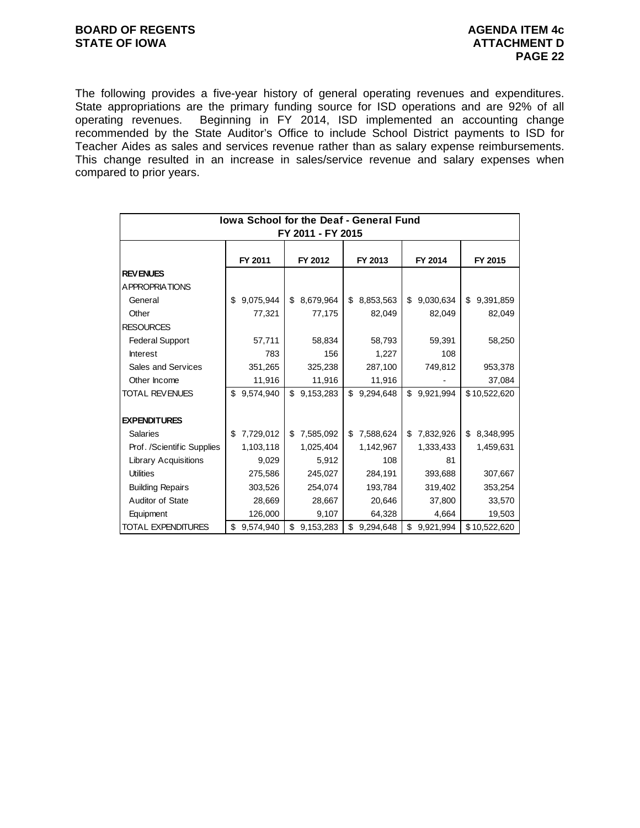# **BOARD OF REGENTS AGENUM AGENDA ITEM 4c STATE OF IOWA ATTACHMENT D**

The following provides a five-year history of general operating revenues and expenditures. State appropriations are the primary funding source for ISD operations and are 92% of all operating revenues. Beginning in FY 2014, ISD implemented an accounting change recommended by the State Auditor's Office to include School District payments to ISD for Teacher Aides as sales and services revenue rather than as salary expense reimbursements. This change resulted in an increase in sales/service revenue and salary expenses when compared to prior years.

| <b>Iowa School for the Deaf - General Fund</b><br>FY 2011 - FY 2015 |         |           |         |           |         |           |         |           |         |              |
|---------------------------------------------------------------------|---------|-----------|---------|-----------|---------|-----------|---------|-----------|---------|--------------|
|                                                                     | FY 2011 |           | FY 2012 |           | FY 2013 |           | FY 2014 |           | FY 2015 |              |
| <b>REVENUES</b>                                                     |         |           |         |           |         |           |         |           |         |              |
| A PPROPRIATIONS                                                     |         |           |         |           |         |           |         |           |         |              |
| General                                                             | \$      | 9,075,944 | \$      | 8,679,964 | \$      | 8,853,563 | \$      | 9,030,634 | \$      | 9,391,859    |
| Other                                                               |         | 77,321    |         | 77,175    |         | 82,049    |         | 82,049    |         | 82,049       |
| <b>RESOURCES</b>                                                    |         |           |         |           |         |           |         |           |         |              |
| <b>Federal Support</b>                                              |         | 57,711    |         | 58,834    |         | 58,793    |         | 59,391    |         | 58,250       |
| <b>Interest</b>                                                     |         | 783       |         | 156       |         | 1,227     |         | 108       |         |              |
| Sales and Services                                                  |         | 351,265   |         | 325,238   |         | 287,100   |         | 749,812   |         | 953,378      |
| Other Income                                                        |         | 11,916    |         | 11,916    |         | 11,916    |         |           |         | 37,084       |
| <b>TOTAL REVENUES</b>                                               | \$      | 9,574,940 | \$      | 9,153,283 | \$      | 9,294,648 | \$      | 9,921,994 |         | \$10,522,620 |
|                                                                     |         |           |         |           |         |           |         |           |         |              |
| <b>EXPENDITURES</b>                                                 |         |           |         |           |         |           |         |           |         |              |
| <b>Salaries</b>                                                     | \$      | 7,729,012 | \$      | 7,585,092 | \$      | 7,588,624 | \$      | 7,832,926 | \$      | 8,348,995    |
| Prof. /Scientific Supplies                                          |         | 1,103,118 |         | 1,025,404 |         | 1,142,967 |         | 1,333,433 |         | 1,459,631    |
| <b>Library Acquisitions</b>                                         |         | 9,029     |         | 5,912     |         | 108       |         | 81        |         |              |
| <b>Utilities</b>                                                    |         | 275,586   |         | 245,027   |         | 284,191   |         | 393,688   |         | 307,667      |
| <b>Building Repairs</b>                                             |         | 303,526   |         | 254,074   |         | 193,784   |         | 319,402   |         | 353,254      |
| Auditor of State                                                    |         | 28,669    |         | 28,667    |         | 20,646    |         | 37,800    |         | 33,570       |
| Equipment                                                           |         | 126,000   |         | 9,107     |         | 64,328    |         | 4,664     |         | 19,503       |
| TOTAL EXPENDITURES                                                  | \$      | 9,574,940 | \$      | 9,153,283 | \$      | 9,294,648 | \$      | 9,921,994 |         | \$10,522,620 |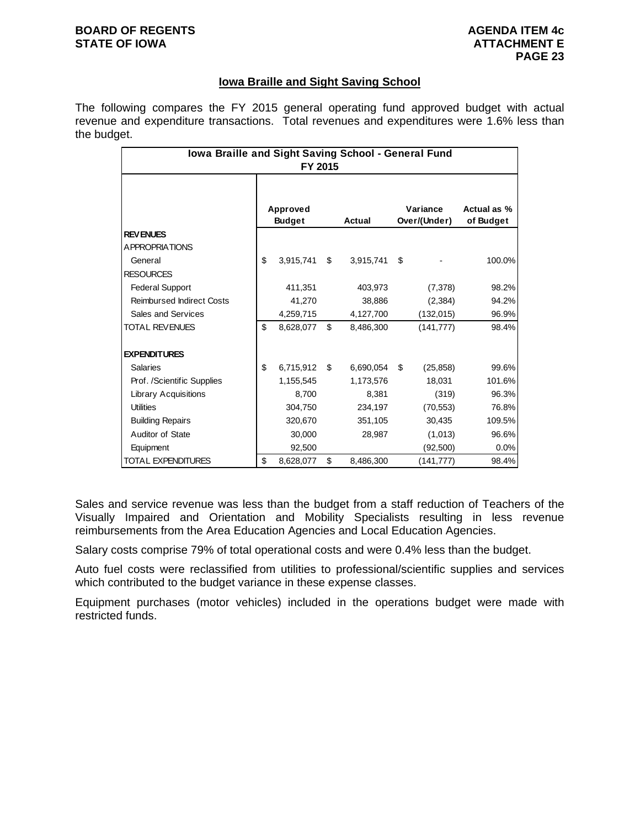# **BOARD OF REGENTS AGENUS AGENDA ITEM 4c STATE OF IOWA ATTACHMENT E**

# **Iowa Braille and Sight Saving School**

The following compares the FY 2015 general operating fund approved budget with actual revenue and expenditure transactions. Total revenues and expenditures were 1.6% less than the budget.

| lowa Braille and Sight Saving School - General Fund<br>FY 2015 |    |               |    |           |    |              |             |  |  |
|----------------------------------------------------------------|----|---------------|----|-----------|----|--------------|-------------|--|--|
|                                                                |    |               |    |           |    |              |             |  |  |
|                                                                |    | Approved      |    |           |    | Variance     | Actual as % |  |  |
|                                                                |    | <b>Budget</b> |    | Actual    |    | Over/(Under) | of Budget   |  |  |
| <b>REVENUES</b>                                                |    |               |    |           |    |              |             |  |  |
| A PPROPRIATIONS                                                |    |               |    |           |    |              |             |  |  |
| General                                                        | \$ | 3,915,741     | \$ | 3,915,741 | \$ |              | 100.0%      |  |  |
| <b>RESOURCES</b>                                               |    |               |    |           |    |              |             |  |  |
| <b>Federal Support</b>                                         |    | 411,351       |    | 403,973   |    | (7, 378)     | 98.2%       |  |  |
| <b>Reimbursed Indirect Costs</b>                               |    | 41,270        |    | 38,886    |    | (2, 384)     | 94.2%       |  |  |
| Sales and Services                                             |    | 4,259,715     |    | 4,127,700 |    | (132, 015)   | 96.9%       |  |  |
| <b>TOTAL REVENUES</b>                                          | \$ | 8,628,077     | \$ | 8,486,300 |    | (141, 777)   | 98.4%       |  |  |
| <b>EXPENDITURES</b>                                            |    |               |    |           |    |              |             |  |  |
| <b>Salaries</b>                                                | \$ | 6,715,912     | \$ | 6,690,054 | \$ | (25, 858)    | 99.6%       |  |  |
| Prof. /Scientific Supplies                                     |    | 1,155,545     |    | 1,173,576 |    | 18,031       | 101.6%      |  |  |
| <b>Library Acquisitions</b>                                    |    | 8,700         |    | 8,381     |    | (319)        | 96.3%       |  |  |
| <b>Utilities</b>                                               |    | 304,750       |    | 234,197   |    | (70, 553)    | 76.8%       |  |  |
| <b>Building Repairs</b>                                        |    | 320,670       |    | 351,105   |    | 30,435       | 109.5%      |  |  |
| Auditor of State                                               |    | 30,000        |    | 28,987    |    | (1,013)      | 96.6%       |  |  |
| Equipment                                                      |    | 92,500        |    |           |    | (92, 500)    | 0.0%        |  |  |
| TOTAL EXPENDITURES                                             | \$ | 8,628,077     | \$ | 8,486,300 |    | (141, 777)   | 98.4%       |  |  |

Sales and service revenue was less than the budget from a staff reduction of Teachers of the Visually Impaired and Orientation and Mobility Specialists resulting in less revenue reimbursements from the Area Education Agencies and Local Education Agencies.

Salary costs comprise 79% of total operational costs and were 0.4% less than the budget.

Auto fuel costs were reclassified from utilities to professional/scientific supplies and services which contributed to the budget variance in these expense classes.

Equipment purchases (motor vehicles) included in the operations budget were made with restricted funds.